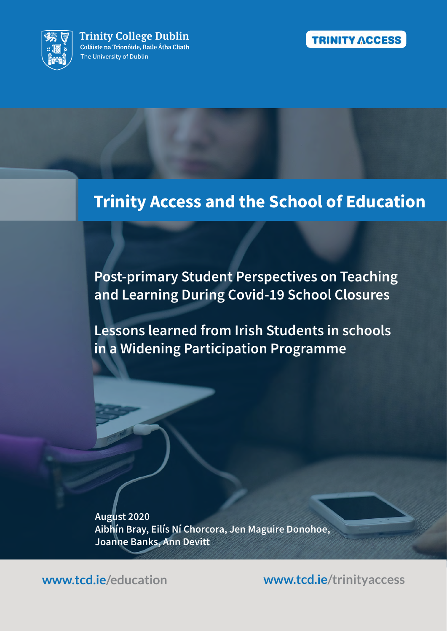



# **Trinity Access and the School of Education**

**Post-primary Student Perspectives on Teaching** and Learning During Covid-19 School Closures

**Lessons learned from Irish Students in schools** in a Widening Participation Programme

August 2020 Aibhín Bray, Eilís Ní Chorcora, Jen Maguire Donohoe, **Joanne Banks, Ann Devitt** 

www.tcd.je/education

www.tcd.ie/trinityaccess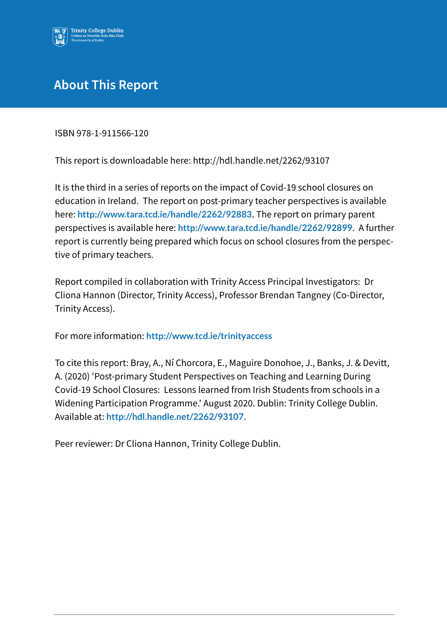

## **About This Report**

ISBN 978-1-911566-120

This report is downloadable here: http://hdl.handle.net/2262/93107

It is the third in a series of reports on the impact of Covid-19 school closures on education in Ireland. The report on post-primary teacher perspectives is available here: http://www.tara.tcd.ie/handle/2262/92883. The report on primary parent perspectives is available here: http://www.tara.tcd.ie/handle/2262/92899. A further report is currently being prepared which focus on school closures from the perspective of primary teachers.

Report compiled in collaboration with Trinity Access Principal Investigators: Dr Cliona Hannon (Director, Trinity Access), Professor Brendan Tangney (Co-Director, Trinity Access).

For more information: http://www.tcd.ie/trinityaccess

To cite this report: Bray, A., Ní Chorcora, E., Maguire Donohoe, J., Banks, J. & Devitt, A. (2020) 'Post-primary Student Perspectives on Teaching and Learning During Covid-19 School Closures: Lessons learned from Irish Students from schools in a Widening Participation Programme.' August 2020. Dublin: Trinity College Dublin. Available at: http://hdl.handle.net/2262/93107.

Peer reviewer: Dr Cliona Hannon, Trinity College Dublin.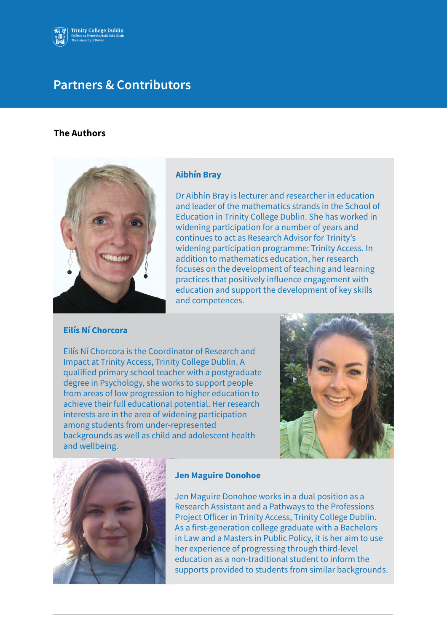

## **Partners & Contributors**

#### **The Authors**



#### **Aibhín Bray**

Dr Aibhín Bray is lecturer and researcher in education and leader of the mathematics strands in the School of Education in Trinity College Dublin. She has worked in widening participation for a number of years and continues to act as Research Advisor for Trinity's widening participation programme: Trinity Access. In addition to mathematics education, her research focuses on the development of teaching and learning practices that positively influence engagement with education and support the development of key skills and competences.

#### **Filís Ní Chorcora**

Eilís Ní Chorcora is the Coordinator of Research and Impact at Trinity Access, Trinity College Dublin. A qualified primary school teacher with a postgraduate degree in Psychology, she works to support people from areas of low progression to higher education to achieve their full educational potential. Her research interests are in the area of widening participation among students from under-represented backgrounds as well as child and adolescent health and wellbeing.





#### **Jen Maguire Donohoe**

Jen Maguire Donohoe works in a dual position as a Research Assistant and a Pathways to the Professions Project Officer in Trinity Access, Trinity College Dublin. As a first-generation college graduate with a Bachelors in Law and a Masters in Public Policy, it is her aim to use her experience of progressing through third-level education as a non-traditional student to inform the supports provided to students from similar backgrounds.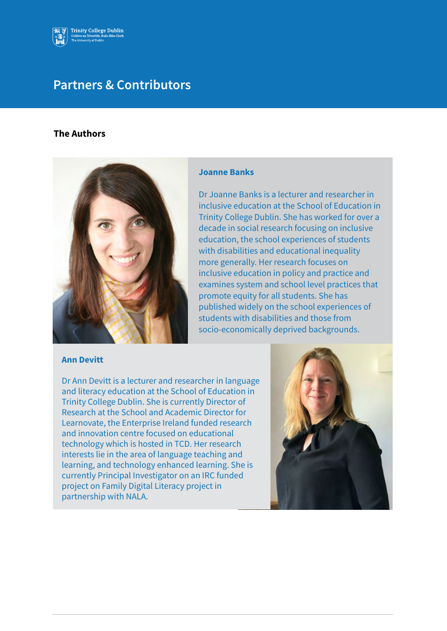

## **Partners & Contributors**

#### **The Authors**



#### **Ann Devitt**

#### **Joanne Banks**

Dr Joanne Banks is a lecturer and researcher in inclusive education at the School of Education in Trinity College Dublin. She has worked for over a decade in social research focusing on inclusive education, the school experiences of students with disabilities and educational inequality more generally. Her research focuses on inclusive education in policy and practice and examines system and school level practices that promote equity for all students. She has published widely on the school experiences of students with disabilities and those from socio-economically deprived backgrounds.

Dr Ann Devitt is a lecturer and researcher in language and literacy education at the School of Education in Trinity College Dublin. She is currently Director of Research at the School and Academic Director for Learnovate, the Enterprise Ireland funded research and innovation centre focused on educational technology which is hosted in TCD. Her research interests lie in the area of language teaching and learning, and technology enhanced learning. She is currently Principal Investigator on an IRC funded project on Family Digital Literacy project in partnership with NALA.

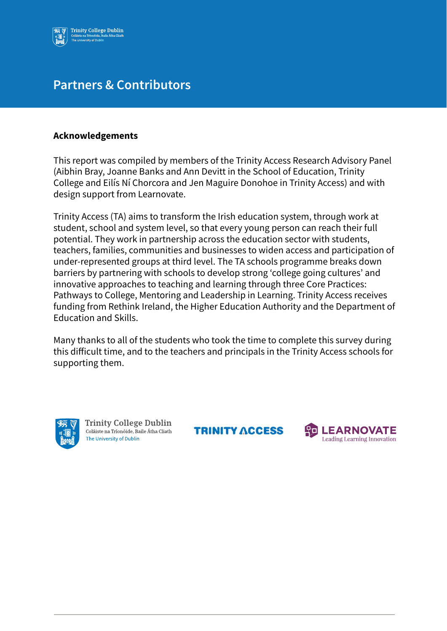

## **Partners & Contributors**

### **Acknowledgements**

This report was compiled by members of the Trinity Access Research Advisory Panel (Aibhin Bray, Joanne Banks and Ann Devitt in the School of Education, Trinity College and Eilis Ni Chorcora and Jen Maguire Donohoe in Trinity Access) and with design support from Learnovate.

Trinity Access (TA) aims to transform the Irish education system, through work at student, school and system level, so that every young person can reach their full potential. They work in partnership across the education sector with students, teachers, families, communities and businesses to widen access and participation of under-represented groups at third level. The TA schools programme breaks down barriers by partnering with schools to develop strong 'college going cultures' and innovative approaches to teaching and learning through three Core Practices: Pathways to College, Mentoring and Leadership in Learning. Trinity Access receives funding from Rethink Ireland, the Higher Education Authority and the Department of **Education and Skills.** 

Many thanks to all of the students who took the time to complete this survey during this difficult time, and to the teachers and principals in the Trinity Access schools for supporting them.



**Trinity College Dublin** Coláiste na Tríonóide, Baile Átha Cliath The University of Dublin

**TRINITY ACCESS** 

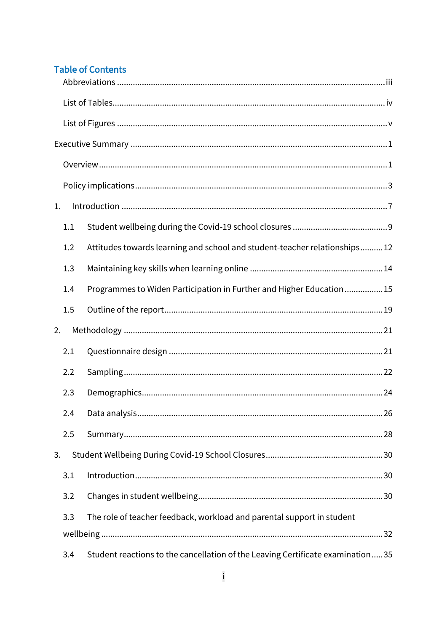## **Table of Contents**

| 1. |     |                                                                                |
|----|-----|--------------------------------------------------------------------------------|
|    | 1.1 |                                                                                |
|    | 1.2 | Attitudes towards learning and school and student-teacher relationships12      |
|    | 1.3 |                                                                                |
|    | 1.4 | Programmes to Widen Participation in Further and Higher Education15            |
|    | 1.5 |                                                                                |
| 2. |     |                                                                                |
|    | 2.1 |                                                                                |
|    | 2.2 |                                                                                |
|    | 2.3 |                                                                                |
|    | 2.4 |                                                                                |
|    | 2.5 |                                                                                |
| 3. |     |                                                                                |
|    | 3.1 |                                                                                |
|    | 3.2 |                                                                                |
|    | 3.3 | The role of teacher feedback, workload and parental support in student         |
|    |     |                                                                                |
|    | 3.4 | Student reactions to the cancellation of the Leaving Certificate examination35 |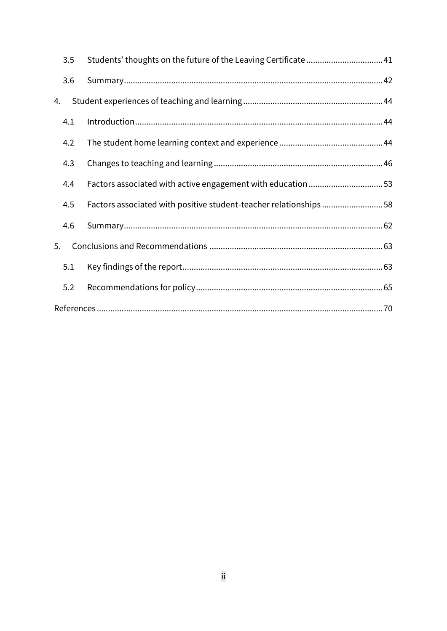| 3.5 | Students' thoughts on the future of the Leaving Certificate41    |  |
|-----|------------------------------------------------------------------|--|
| 3.6 |                                                                  |  |
| 4.  |                                                                  |  |
| 4.1 |                                                                  |  |
| 4.2 |                                                                  |  |
| 4.3 |                                                                  |  |
| 4.4 | Factors associated with active engagement with education 53      |  |
| 4.5 | Factors associated with positive student-teacher relationships58 |  |
| 4.6 |                                                                  |  |
| 5.  |                                                                  |  |
| 5.1 |                                                                  |  |
| 5.2 |                                                                  |  |
|     |                                                                  |  |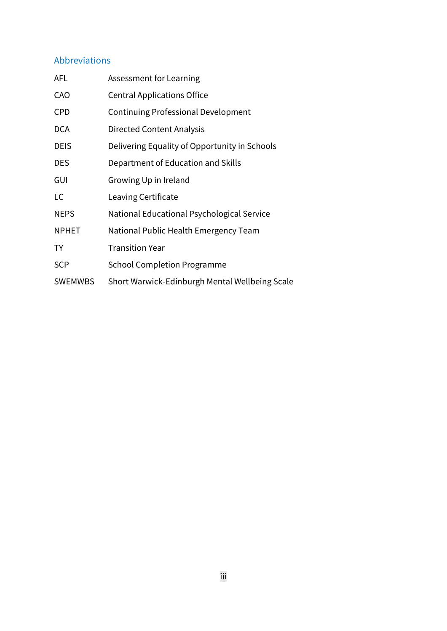## <span id="page-7-0"></span>Abbreviations

| <b>AFL</b>     | Assessment for Learning                        |
|----------------|------------------------------------------------|
| CAO            | <b>Central Applications Office</b>             |
| <b>CPD</b>     | <b>Continuing Professional Development</b>     |
| <b>DCA</b>     | <b>Directed Content Analysis</b>               |
| <b>DEIS</b>    | Delivering Equality of Opportunity in Schools  |
| <b>DES</b>     | Department of Education and Skills             |
| GUI            | Growing Up in Ireland                          |
| LC             | Leaving Certificate                            |
| <b>NEPS</b>    | National Educational Psychological Service     |
| <b>NPHET</b>   | National Public Health Emergency Team          |
| TY             | <b>Transition Year</b>                         |
| <b>SCP</b>     | <b>School Completion Programme</b>             |
| <b>SWEMWBS</b> | Short Warwick-Edinburgh Mental Wellbeing Scale |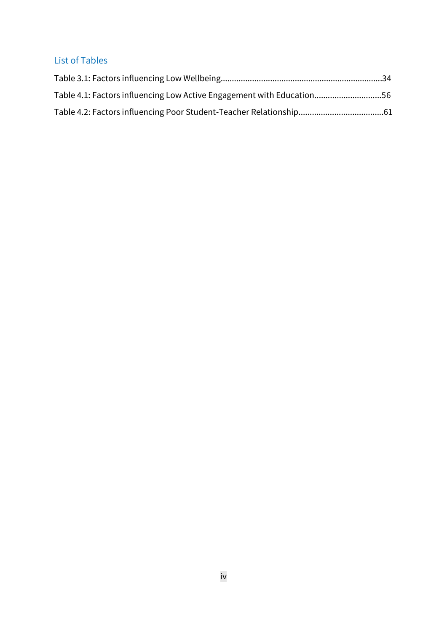## <span id="page-8-0"></span>List of Tables

| Table 4.1: Factors influencing Low Active Engagement with Education56 |  |
|-----------------------------------------------------------------------|--|
|                                                                       |  |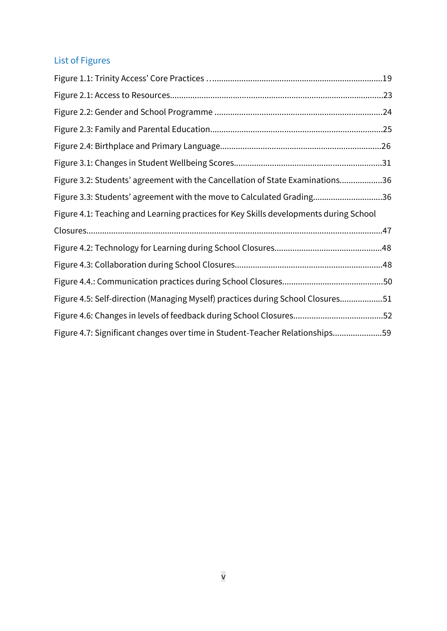## <span id="page-9-0"></span>List of Figures

| Figure 3.2: Students' agreement with the Cancellation of State Examinations36         |  |
|---------------------------------------------------------------------------------------|--|
| Figure 3.3: Students' agreement with the move to Calculated Grading36                 |  |
| Figure 4.1: Teaching and Learning practices for Key Skills developments during School |  |
|                                                                                       |  |
|                                                                                       |  |
|                                                                                       |  |
|                                                                                       |  |
| Figure 4.5: Self-direction (Managing Myself) practices during School Closures51       |  |
|                                                                                       |  |
| Figure 4.7: Significant changes over time in Student-Teacher Relationships59          |  |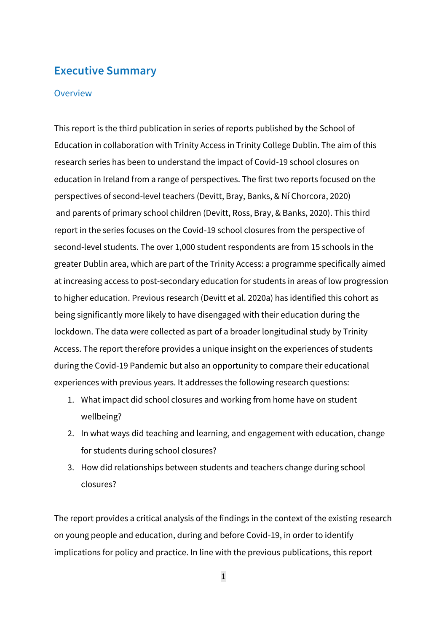## <span id="page-10-0"></span>**Executive Summary**

#### <span id="page-10-1"></span>**Overview**

This report is the third publication in series of reports published by the School of Education in collaboration with Trinity Access in Trinity College Dublin. The aim of this research series has been to understand the impact of Covid-19 school closures on education in Ireland from a range of perspectives. The first two reports focused on the perspectives of second-level teachers (Devitt, Bray, Banks, & Ní Chorcora, 2020) and parents of primary school children (Devitt, Ross, Bray, & Banks, 2020). This third report in the series focuses on the Covid-19 school closures from the perspective of second-level students. The over 1,000 student respondents are from 15 schools in the greater Dublin area, which are part of the Trinity Access: a programme specifically aimed at increasing access to post-secondary education for students in areas of low progression to higher education. Previous research (Devitt et al. 2020a) has identified this cohort as being significantly more likely to have disengaged with their education during the lockdown. The data were collected as part of a broader longitudinal study by Trinity Access. The report therefore provides a unique insight on the experiences of students during the Covid-19 Pandemic but also an opportunity to compare their educational experiences with previous years. It addresses the following research questions:

- 1. What impact did school closures and working from home have on student wellbeing?
- 2. In what ways did teaching and learning, and engagement with education, change for students during school closures?
- 3. How did relationships between students and teachers change during school closures?

The report provides a critical analysis of the findings in the context of the existing research on young people and education, during and before Covid-19, in order to identify implications for policy and practice. In line with the previous publications, this report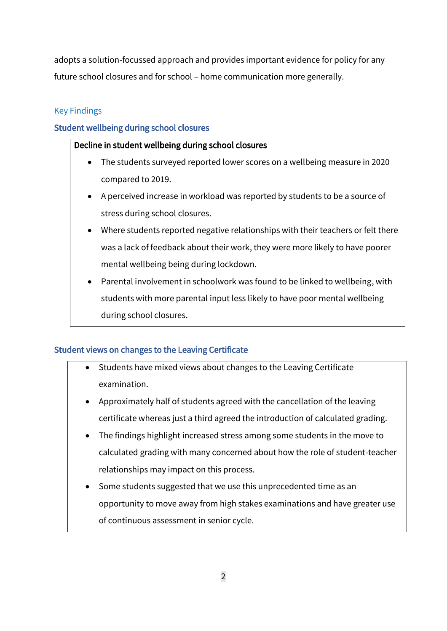adopts a solution-focussed approach and provides important evidence for policy for any future school closures and for school – home communication more generally.

## Key Findings

## Student wellbeing during school closures

## Decline in student wellbeing during school closures

- The students surveyed reported lower scores on a wellbeing measure in 2020 compared to 2019.
- A perceived increase in workload was reported by students to be a source of stress during school closures.
- Where students reported negative relationships with their teachers or felt there was a lack of feedback about their work, they were more likely to have poorer mental wellbeing being during lockdown.
- Parental involvement in schoolwork was found to be linked to wellbeing, with students with more parental input less likely to have poor mental wellbeing during school closures.

## Student views on changes to the Leaving Certificate

- Students have mixed views about changes to the Leaving Certificate examination.
- Approximately half of students agreed with the cancellation of the leaving certificate whereas just a third agreed the introduction of calculated grading.
- The findings highlight increased stress among some students in the move to calculated grading with many concerned about how the role of student-teacher relationships may impact on this process.
- Some students suggested that we use this unprecedented time as an opportunity to move away from high stakes examinations and have greater use of continuous assessment in senior cycle.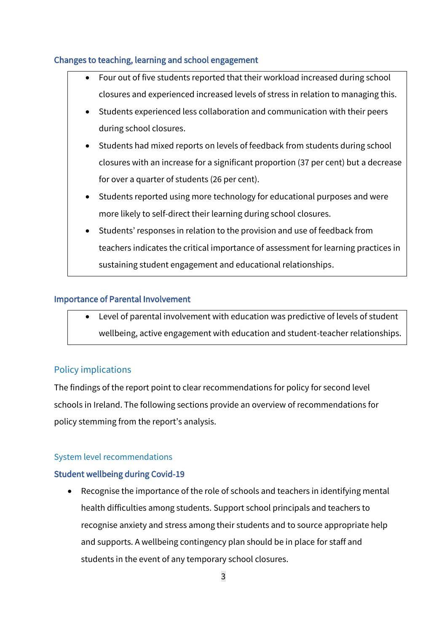## Changes to teaching, learning and school engagement

| Four out of five students reported that their workload increased during school      |
|-------------------------------------------------------------------------------------|
| closures and experienced increased levels of stress in relation to managing this.   |
| Students experienced less collaboration and communication with their peers          |
| during school closures.                                                             |
| Students had mixed reports on levels of feedback from students during school        |
| closures with an increase for a significant proportion (37 per cent) but a decrease |
| for over a quarter of students (26 per cent).                                       |
| Students reported using more technology for educational purposes and were           |
| more likely to self-direct their learning during school closures.                   |
| Students' responses in relation to the provision and use of feedback from           |
| teachers indicates the critical importance of assessment for learning practices in  |
| sustaining student engagement and educational relationships.                        |

### Importance of Parental Involvement

• Level of parental involvement with education was predictive of levels of student wellbeing, active engagement with education and student-teacher relationships.

## <span id="page-12-0"></span>Policy implications

The findings of the report point to clear recommendations for policy for second level schools in Ireland. The following sections provide an overview of recommendations for policy stemming from the report's analysis.

## System level recommendations

## Student wellbeing during Covid-19

• Recognise the importance of the role of schools and teachers in identifying mental health difficulties among students. Support school principals and teachers to recognise anxiety and stress among their students and to source appropriate help and supports. A wellbeing contingency plan should be in place for staff and students in the event of any temporary school closures.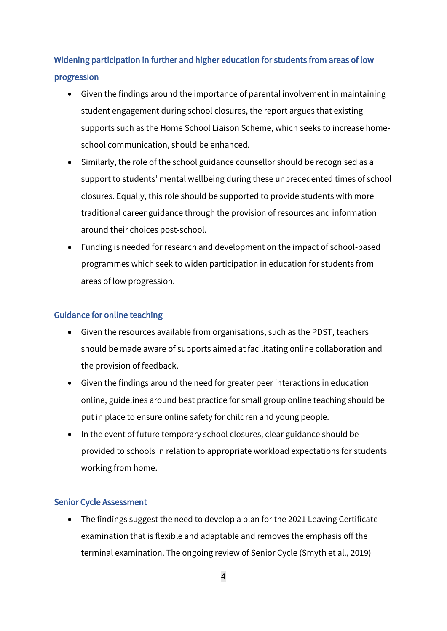## Widening participation in further and higher education for students from areas of low progression

- Given the findings around the importance of parental involvement in maintaining student engagement during school closures, the report argues that existing supports such as the Home School Liaison Scheme, which seeks to increase homeschool communication, should be enhanced.
- Similarly, the role of the school guidance counsellor should be recognised as a support to students' mental wellbeing during these unprecedented times of school closures. Equally, this role should be supported to provide students with more traditional career guidance through the provision of resources and information around their choices post-school.
- Funding is needed for research and development on the impact of school-based programmes which seek to widen participation in education for students from areas of low progression.

#### Guidance for online teaching

- Given the resources available from organisations, such as the PDST, teachers should be made aware of supports aimed at facilitating online collaboration and the provision of feedback.
- Given the findings around the need for greater peer interactions in education online, guidelines around best practice for small group online teaching should be put in place to ensure online safety for children and young people.
- In the event of future temporary school closures, clear guidance should be provided to schools in relation to appropriate workload expectations for students working from home.

#### Senior Cycle Assessment

• The findings suggest the need to develop a plan for the 2021 Leaving Certificate examination that is flexible and adaptable and removes the emphasis off the terminal examination. The ongoing review of Senior Cycle (Smyth et al., 2019)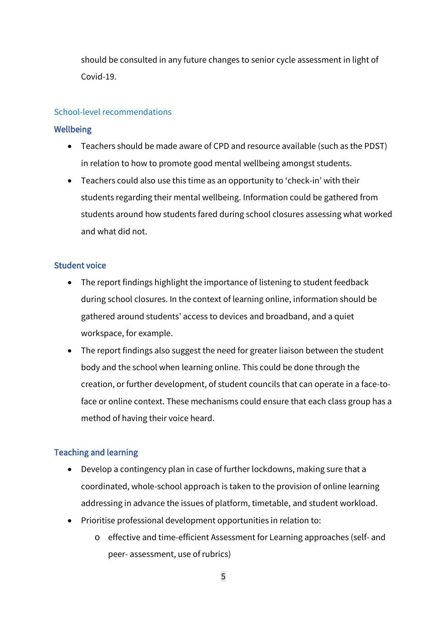should be consulted in any future changes to senior cycle assessment in light of Covid-19.

### School-level recommendations

### **Wellbeing**

- Teachers should be made aware of CPD and resource available (such as the PDST) in relation to how to promote good mental wellbeing amongst students.
- Teachers could also use this time as an opportunity to 'check-in' with their students regarding their mental wellbeing. Information could be gathered from students around how students fared during school closures assessing what worked and what did not.

### Student voice

- The report findings highlight the importance of listening to student feedback during school closures. In the context of learning online, information should be gathered around students' access to devices and broadband, and a quiet workspace, for example.
- The report findings also suggest the need for greater liaison between the student body and the school when learning online. This could be done through the creation, or further development, of student councils that can operate in a face-toface or online context. These mechanisms could ensure that each class group has a method of having their voice heard.

## Teaching and learning

- Develop a contingency plan in case of further lockdowns, making sure that a coordinated, whole-school approach is taken to the provision of online learning addressing in advance the issues of platform, timetable, and student workload.
- Prioritise professional development opportunities in relation to:
	- o effective and time-efficient Assessment for Learning approaches (self- and peer- assessment, use of rubrics)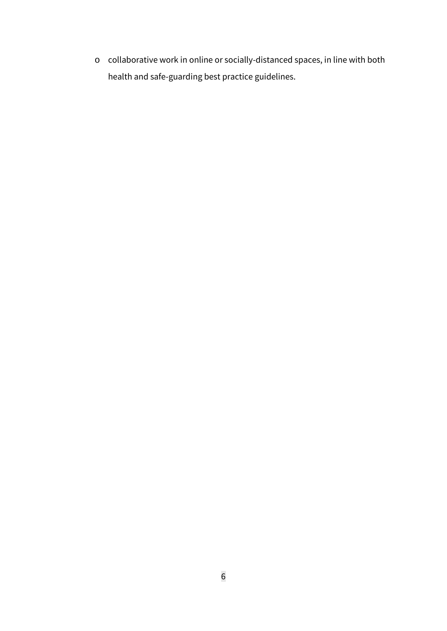o collaborative work in online or socially-distanced spaces, in line with both health and safe-guarding best practice guidelines.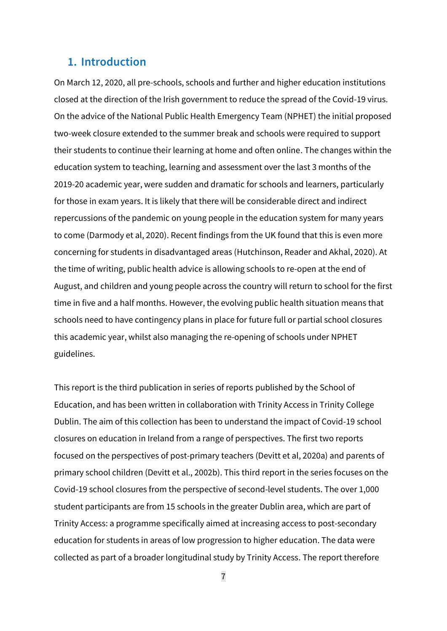## <span id="page-16-0"></span>**1. Introduction**

On March 12, 2020, all pre-schools, schools and further and higher education institutions closed at the direction of the Irish government to reduce the spread of the Covid-19 virus. On the advice of the National Public Health Emergency Team (NPHET) the initial proposed two-week closure extended to the summer break and schools were required to support their students to continue their learning at home and often online. The changes within the education system to teaching, learning and assessment over the last 3 months of the 2019-20 academic year, were sudden and dramatic for schools and learners, particularly for those in exam years. It is likely that there will be considerable direct and indirect repercussions of the pandemic on young people in the education system for many years to come (Darmody et al, 2020). Recent findings from the UK found that this is even more concerning for students in disadvantaged areas (Hutchinson, Reader and Akhal, 2020). At the time of writing, public health advice is allowing schools to re-open at the end of August, and children and young people across the country will return to school for the first time in five and a half months. However, the evolving public health situation means that schools need to have contingency plans in place for future full or partial school closures this academic year, whilst also managing the re-opening of schools under NPHET guidelines.

This report is the third publication in series of reports published by the School of Education, and has been written in collaboration with Trinity Access in Trinity College Dublin. The aim of this collection has been to understand the impact of Covid-19 school closures on education in Ireland from a range of perspectives. The first two reports focused on the perspectives of post-primary teachers (Devitt et al, 2020a) and parents of primary school children (Devitt et al., 2002b). This third report in the series focuses on the Covid-19 school closures from the perspective of second-level students. The over 1,000 student participants are from 15 schools in the greater Dublin area, which are part of Trinity Access: a programme specifically aimed at increasing access to post-secondary education for students in areas of low progression to higher education. The data were collected as part of a broader longitudinal study by Trinity Access. The report therefore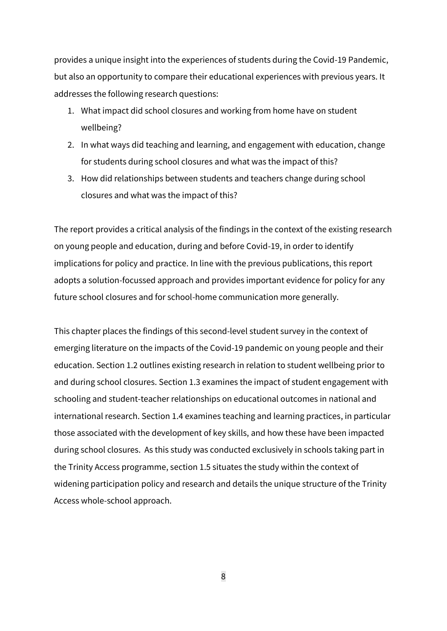provides a unique insight into the experiences of students during the Covid-19 Pandemic, but also an opportunity to compare their educational experiences with previous years. It addresses the following research questions:

- 1. What impact did school closures and working from home have on student wellbeing?
- 2. In what ways did teaching and learning, and engagement with education, change for students during school closures and what was the impact of this?
- 3. How did relationships between students and teachers change during school closures and what was the impact of this?

The report provides a critical analysis of the findings in the context of the existing research on young people and education, during and before Covid-19, in order to identify implications for policy and practice. In line with the previous publications, this report adopts a solution-focussed approach and provides important evidence for policy for any future school closures and for school-home communication more generally.

This chapter places the findings of this second-level student survey in the context of emerging literature on the impacts of the Covid-19 pandemic on young people and their education. Section 1.2 outlines existing research in relation to student wellbeing prior to and during school closures. Section 1.3 examines the impact of student engagement with schooling and student-teacher relationships on educational outcomes in national and international research. Section 1.4 examines teaching and learning practices, in particular those associated with the development of key skills, and how these have been impacted during school closures. As this study was conducted exclusively in schools taking part in the Trinity Access programme, section 1.5 situates the study within the context of widening participation policy and research and details the unique structure of the Trinity Access whole-school approach.

8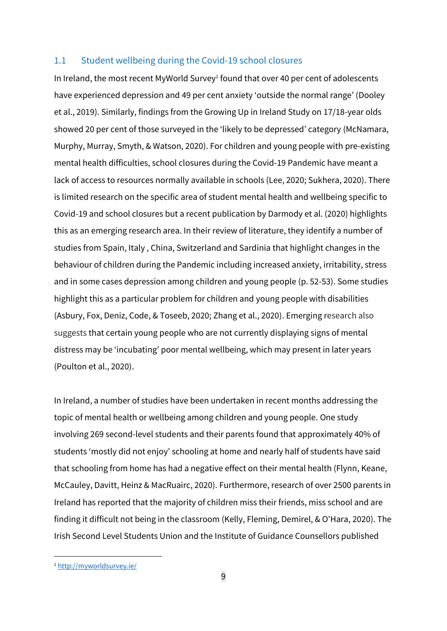#### <span id="page-18-0"></span>1.1 Student wellbeing during the Covid-19 school closures

In Ireland, the most recent MyWorld Survey<sup>1</sup> found that over 40 per cent of adolescents have experienced depression and 49 per cent anxiety 'outside the normal range' (Dooley et al., 2019). Similarly, findings from the Growing Up in Ireland Study on 17/18-year olds showed 20 per cent of those surveyed in the 'likely to be depressed' category (McNamara, Murphy, Murray, Smyth, & Watson, 2020). For children and young people with pre-existing mental health difficulties, school closures during the Covid-19 Pandemic have meant a lack of access to resources normally available in schools (Lee, 2020; Sukhera, 2020). There is limited research on the specific area of student mental health and wellbeing specific to Covid-19 and school closures but a recent publication by Darmody et al. (2020) highlights this as an emerging research area. In their review of literature, they identify a number of studies from Spain, Italy , China, Switzerland and Sardinia that highlight changes in the behaviour of children during the Pandemic including increased anxiety, irritability, stress and in some cases depression among children and young people (p. 52-53). Some studies highlight this as a particular problem for children and young people with disabilities (Asbury, Fox, Deniz, Code, & Toseeb, 2020; Zhang et al., 2020). Emerging research also suggests that certain young people who are not currently displaying signs of mental distress may be 'incubating' poor mental wellbeing, which may present in later years (Poulton et al., 2020).

In Ireland, a number of studies have been undertaken in recent months addressing the topic of mental health or wellbeing among children and young people. One study involving 269 second-level students and their parents found that approximately 40% of students 'mostly did not enjoy' schooling at home and nearly half of students have said that schooling from home has had a negative effect on their mental health (Flynn, Keane, McCauley, Davitt, Heinz & MacRuairc, 2020). Furthermore, research of over 2500 parents in Ireland has reported that the majority of children miss their friends, miss school and are finding it difficult not being in the classroom (Kelly, Fleming, Demirel, & O'Hara, 2020). The Irish Second Level Students Union and the Institute of Guidance Counsellors published

<sup>1</sup> <http://myworldsurvey.ie/>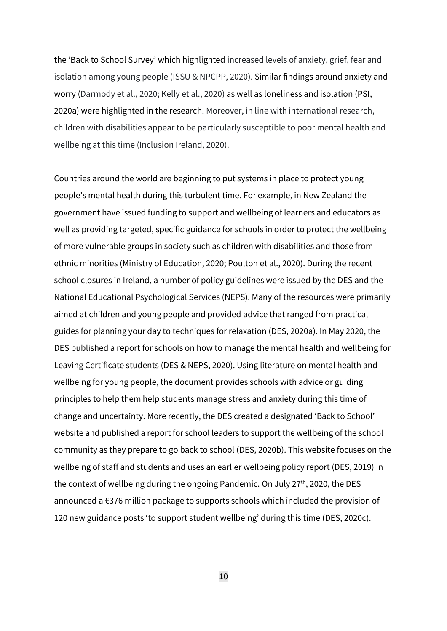the 'Back to School Survey' which highlighted increased levels of anxiety, grief, fear and isolation among young people (ISSU & NPCPP, 2020). Similar findings around anxiety and worry (Darmody et al., 2020; Kelly et al., 2020) as well as loneliness and isolation (PSI, 2020a) were highlighted in the research. Moreover, in line with international research, children with disabilities appear to be particularly susceptible to poor mental health and wellbeing at this time (Inclusion Ireland, 2020).

Countries around the world are beginning to put systems in place to protect young people's mental health during this turbulent time. For example, in New Zealand the government have issued funding to support and wellbeing of learners and educators as well as providing targeted, specific guidance for schools in order to protect the wellbeing of more vulnerable groups in society such as children with disabilities and those from ethnic minorities (Ministry of Education, 2020; Poulton et al., 2020). During the recent school closures in Ireland, a number of policy guidelines were issued by the DES and the National Educational Psychological Services (NEPS). Many of the resources were primarily aimed at children and young people and provided advice that ranged from practical guides for planning your day to techniques for relaxation (DES, 2020a). In May 2020, the DES published a report for schools on how to manage the mental health and wellbeing for Leaving Certificate students (DES & NEPS, 2020). Using literature on mental health and wellbeing for young people, the document provides schools with advice or guiding principles to help them help students manage stress and anxiety during this time of change and uncertainty. More recently, the DES created a designated 'Back to School' website and published a report for school leaders to support the wellbeing of the school community as they prepare to go back to school (DES, 2020b). This website focuses on the wellbeing of staff and students and uses an earlier wellbeing policy report (DES, 2019) in the context of wellbeing during the ongoing Pandemic. On July 27<sup>th</sup>, 2020, the DES announced a €376 million package to supports schools which included the provision of 120 new guidance posts 'to support student wellbeing' during this time (DES, 2020c).

10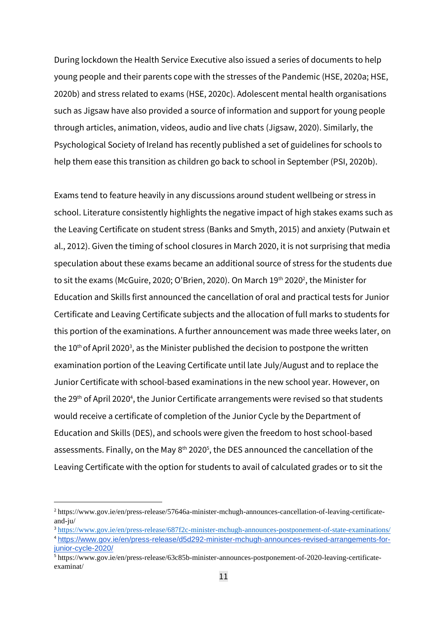During lockdown the Health Service Executive also issued a series of documents to help young people and their parents cope with the stresses of the Pandemic (HSE, 2020a; HSE, 2020b) and stress related to exams (HSE, 2020c). Adolescent mental health organisations such as Jigsaw have also provided a source of information and support for young people through articles, animation, videos, audio and live chats (Jigsaw, 2020). Similarly, the Psychological Society of Ireland has recently published a set of guidelines for schools to help them ease this transition as children go back to school in September (PSI, 2020b).

Exams tend to feature heavily in any discussions around student wellbeing or stress in school. Literature consistently highlights the negative impact of high stakes exams such as the Leaving Certificate on student stress (Banks and Smyth, 2015) and anxiety (Putwain et al., 2012). Given the timing of school closures in March 2020, it is not surprising that media speculation about these exams became an additional source of stress for the students due to sit the exams (McGuire, 2020; O'Brien, 2020). On March 19<sup>th</sup> 2020<sup>2</sup>, the Minister for Education and Skills first announced the cancellation of oral and practical tests for Junior Certificate and Leaving Certificate subjects and the allocation of full marks to students for this portion of the examinations. A further announcement was made three weeks later, on the  $10<sup>th</sup>$  of April 2020<sup>3</sup>, as the Minister published the decision to postpone the written examination portion of the Leaving Certificate until late July/August and to replace the Junior Certificate with school-based examinations in the new school year. However, on the 29<sup>th</sup> of April 2020<sup>4</sup>, the Junior Certificate arrangements were revised so that students would receive a certificate of completion of the Junior Cycle by the Department of Education and Skills (DES), and schools were given the freedom to host school-based assessments. Finally, on the May  $8<sup>th</sup> 2020<sup>5</sup>$ , the DES announced the cancellation of the Leaving Certificate with the option for students to avail of calculated grades or to sit the

<sup>2</sup> https://www.gov.ie/en/press-release/57646a-minister-mchugh-announces-cancellation-of-leaving-certificateand-ju/

<sup>3</sup> <https://www.gov.ie/en/press-release/687f2c-minister-mchugh-announces-postponement-of-state-examinations/> <sup>4</sup> [https://www.gov.ie/en/press-release/d5d292-minister-mchugh-announces-revised-arrangements-for](https://www.gov.ie/en/press-release/d5d292-minister-mchugh-announces-revised-arrangements-for-junior-cycle-2020/)[junior-cycle-2020/](https://www.gov.ie/en/press-release/d5d292-minister-mchugh-announces-revised-arrangements-for-junior-cycle-2020/)

<sup>5</sup> https://www.gov.ie/en/press-release/63c85b-minister-announces-postponement-of-2020-leaving-certificateexaminat/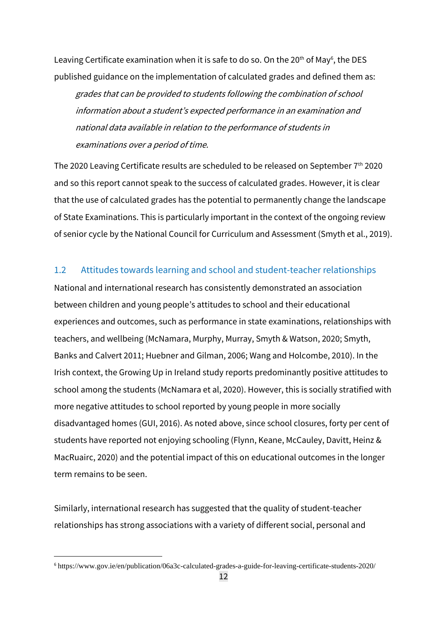Leaving Certificate examination when it is safe to do so. On the 20<sup>th</sup> of May<sup>6</sup>, the DES published guidance on the implementation of calculated grades and defined them as:

grades that can be provided to students following the combination of school information about <sup>a</sup> student's expected performance in an examination and national data available in relation to the performance of students in examinations over <sup>a</sup> period of time.

The 2020 Leaving Certificate results are scheduled to be released on September  $7<sup>th</sup>$  2020 and so this report cannot speak to the success of calculated grades. However, it is clear that the use of calculated grades has the potential to permanently change the landscape of State Examinations. This is particularly important in the context of the ongoing review of senior cycle by the National Council for Curriculum and Assessment (Smyth et al., 2019).

#### <span id="page-21-0"></span>1.2 Attitudes towards learning and school and student-teacher relationships

National and international research has consistently demonstrated an association between children and young people's attitudes to school and their educational experiences and outcomes, such as performance in state examinations, relationships with teachers, and wellbeing (McNamara, Murphy, Murray, Smyth & Watson, 2020; Smyth, Banks and Calvert 2011; Huebner and Gilman, 2006; Wang and Holcombe, 2010). In the Irish context, the Growing Up in Ireland study reports predominantly positive attitudes to school among the students (McNamara et al, 2020). However, this is socially stratified with more negative attitudes to school reported by young people in more socially disadvantaged homes (GUI, 2016). As noted above, since school closures, forty per cent of students have reported not enjoying schooling (Flynn, Keane, McCauley, Davitt, Heinz & MacRuairc, 2020) and the potential impact of this on educational outcomes in the longer term remains to be seen.

Similarly, international research has suggested that the quality of student-teacher relationships has strong associations with a variety of different social, personal and

<sup>6</sup> https://www.gov.ie/en/publication/06a3c-calculated-grades-a-guide-for-leaving-certificate-students-2020/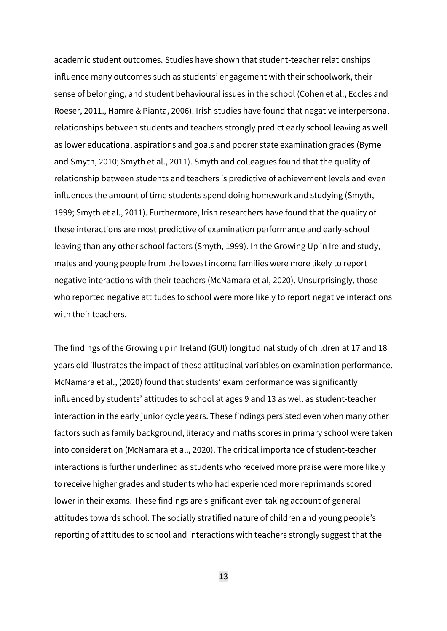academic student outcomes. Studies have shown that student-teacher relationships influence many outcomes such as students' engagement with their schoolwork, their sense of belonging, and student behavioural issues in the school (Cohen et al., Eccles and Roeser, 2011., Hamre & Pianta, 2006). Irish studies have found that negative interpersonal relationships between students and teachers strongly predict early school leaving as well as lower educational aspirations and goals and poorer state examination grades (Byrne and Smyth, 2010; Smyth et al., 2011). Smyth and colleagues found that the quality of relationship between students and teachers is predictive of achievement levels and even influences the amount of time students spend doing homework and studying (Smyth, 1999; Smyth et al., 2011). Furthermore, Irish researchers have found that the quality of these interactions are most predictive of examination performance and early-school leaving than any other school factors (Smyth, 1999). In the Growing Up in Ireland study, males and young people from the lowest income families were more likely to report negative interactions with their teachers (McNamara et al, 2020). Unsurprisingly, those who reported negative attitudes to school were more likely to report negative interactions with their teachers.

The findings of the Growing up in Ireland (GUI) longitudinal study of children at 17 and 18 years old illustrates the impact of these attitudinal variables on examination performance. McNamara et al., (2020) found that students' exam performance was significantly influenced by students' attitudes to school at ages 9 and 13 as well as student-teacher interaction in the early junior cycle years. These findings persisted even when many other factors such as family background, literacy and maths scores in primary school were taken into consideration (McNamara et al., 2020). The critical importance of student-teacher interactions is further underlined as students who received more praise were more likely to receive higher grades and students who had experienced more reprimands scored lower in their exams. These findings are significant even taking account of general attitudes towards school. The socially stratified nature of children and young people's reporting of attitudes to school and interactions with teachers strongly suggest that the

13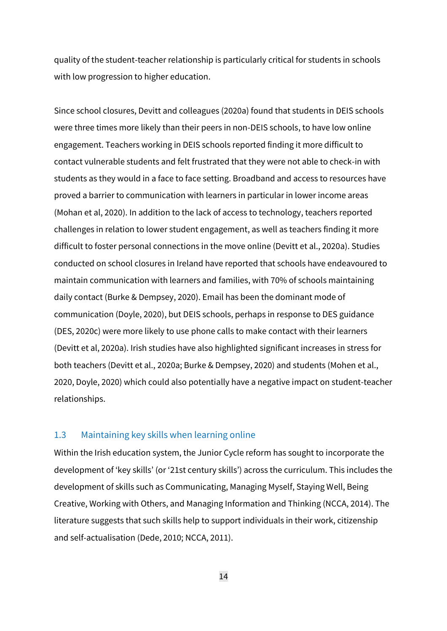quality of the student-teacher relationship is particularly critical for students in schools with low progression to higher education.

Since school closures, Devitt and colleagues (2020a) found that students in DEIS schools were three times more likely than their peers in non-DEIS schools, to have low online engagement. Teachers working in DEIS schools reported finding it more difficult to contact vulnerable students and felt frustrated that they were not able to check-in with students as they would in a face to face setting. Broadband and access to resources have proved a barrier to communication with learners in particular in lower income areas (Mohan et al, 2020). In addition to the lack of access to technology, teachers reported challenges in relation to lower student engagement, as well as teachers finding it more difficult to foster personal connections in the move online (Devitt et al., 2020a). Studies conducted on school closures in Ireland have reported that schools have endeavoured to maintain communication with learners and families, with 70% of schools maintaining daily contact (Burke & Dempsey, 2020). Email has been the dominant mode of communication (Doyle, 2020), but DEIS schools, perhaps in response to DES guidance (DES, 2020c) were more likely to use phone calls to make contact with their learners (Devitt et al, 2020a). Irish studies have also highlighted significant increases in stress for both teachers (Devitt et al., 2020a; Burke & Dempsey, 2020) and students (Mohen et al., 2020, Doyle, 2020) which could also potentially have a negative impact on student-teacher relationships.

#### <span id="page-23-0"></span>1.3 Maintaining key skills when learning online

Within the Irish education system, the Junior Cycle reform has sought to incorporate the development of 'key skills' (or '21st century skills') across the curriculum. This includes the development of skills such as Communicating, Managing Myself, Staying Well, Being Creative, Working with Others, and Managing Information and Thinking (NCCA, 2014). The literature suggests that such skills help to support individuals in their work, citizenship and self-actualisation (Dede, 2010; NCCA, 2011).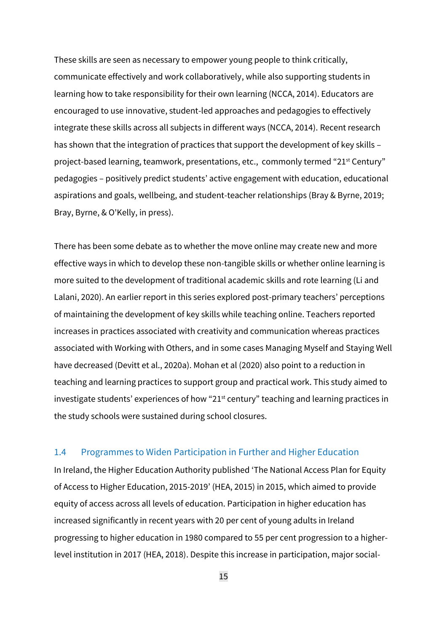These skills are seen as necessary to empower young people to think critically, communicate effectively and work collaboratively, while also supporting students in learning how to take responsibility for their own learning (NCCA, 2014). Educators are encouraged to use innovative, student-led approaches and pedagogies to effectively integrate these skills across all subjects in different ways (NCCA, 2014). Recent research has shown that the integration of practices that support the development of key skills – project-based learning, teamwork, presentations, etc., commonly termed "21st Century" pedagogies – positively predict students' active engagement with education, educational aspirations and goals, wellbeing, and student-teacher relationships (Bray & Byrne, 2019; Bray, Byrne, & O'Kelly, in press).

There has been some debate as to whether the move online may create new and more effective ways in which to develop these non-tangible skills or whether online learning is more suited to the development of traditional academic skills and rote learning (Li and Lalani, 2020). An earlier report in this series explored post-primary teachers' perceptions of maintaining the development of key skills while teaching online. Teachers reported increases in practices associated with creativity and communication whereas practices associated with Working with Others, and in some cases Managing Myself and Staying Well have decreased (Devitt et al., 2020a). Mohan et al (2020) also point to a reduction in teaching and learning practices to support group and practical work. This study aimed to investigate students' experiences of how "21st century" teaching and learning practices in the study schools were sustained during school closures.

#### <span id="page-24-0"></span>1.4 Programmes to Widen Participation in Further and Higher Education

In Ireland, the Higher Education Authority published 'The National Access Plan for Equity of Access to Higher Education, 2015-2019' (HEA, 2015) in 2015, which aimed to provide equity of access across all levels of education. Participation in higher education has increased significantly in recent years with 20 per cent of young adults in Ireland progressing to higher education in 1980 compared to 55 per cent progression to a higherlevel institution in 2017 (HEA, 2018). Despite this increase in participation, major social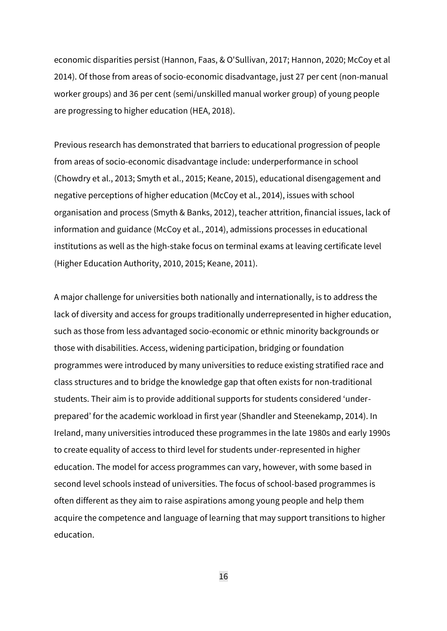economic disparities persist (Hannon, Faas, & O'Sullivan, 2017; Hannon, 2020; McCoy et al 2014). Of those from areas of socio-economic disadvantage, just 27 per cent (non-manual worker groups) and 36 per cent (semi/unskilled manual worker group) of young people are progressing to higher education (HEA, 2018).

Previous research has demonstrated that barriers to educational progression of people from areas of socio-economic disadvantage include: underperformance in school (Chowdry et al., 2013; Smyth et al., 2015; Keane, 2015), educational disengagement and negative perceptions of higher education (McCoy et al., 2014), issues with school organisation and process (Smyth & Banks, 2012), teacher attrition, financial issues, lack of information and guidance (McCoy et al., 2014), admissions processes in educational institutions as well as the high-stake focus on terminal exams at leaving certificate level (Higher Education Authority, 2010, 2015; Keane, 2011).

A major challenge for universities both nationally and internationally, is to address the lack of diversity and access for groups traditionally underrepresented in higher education, such as those from less advantaged socio-economic or ethnic minority backgrounds or those with disabilities. Access, widening participation, bridging or foundation programmes were introduced by many universities to reduce existing stratified race and class structures and to bridge the knowledge gap that often exists for non-traditional students. Their aim is to provide additional supports for students considered 'underprepared' for the academic workload in first year (Shandler and Steenekamp, 2014). In Ireland, many universities introduced these programmes in the late 1980s and early 1990s to create equality of access to third level for students under-represented in higher education. The model for access programmes can vary, however, with some based in second level schools instead of universities. The focus of school-based programmes is often different as they aim to raise aspirations among young people and help them acquire the competence and language of learning that may support transitions to higher education.

16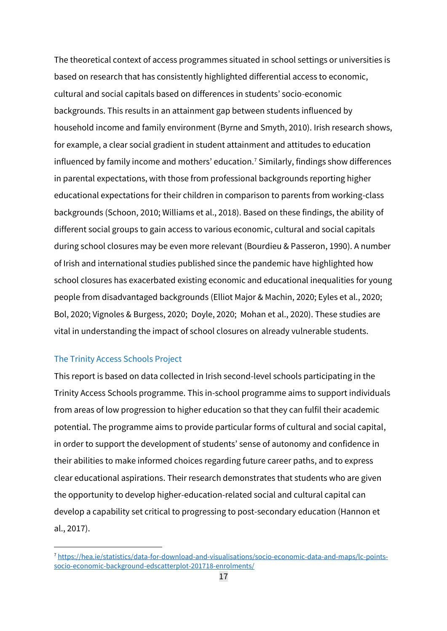The theoretical context of access programmes situated in school settings or universities is based on research that has consistently highlighted differential access to economic, cultural and social capitals based on differences in students' socio-economic backgrounds. This results in an attainment gap between students influenced by household income and family environment (Byrne and Smyth, 2010). Irish research shows, for example, a clear social gradient in student attainment and attitudes to education influenced by family income and mothers' education.<sup>7</sup> Similarly, findings show differences in parental expectations, with those from professional backgrounds reporting higher educational expectations for their children in comparison to parents from working-class backgrounds (Schoon, 2010; Williams et al., 2018). Based on these findings, the ability of different social groups to gain access to various economic, cultural and social capitals during school closures may be even more relevant (Bourdieu & Passeron, 1990). A number of Irish and international studies published since the pandemic have highlighted how school closures has exacerbated existing economic and educational inequalities for young people from disadvantaged backgrounds (Elliot Major & Machin, 2020; Eyles et al., 2020; Bol, 2020; Vignoles & Burgess, 2020; Doyle, 2020; Mohan et al., 2020). These studies are vital in understanding the impact of school closures on already vulnerable students.

#### The Trinity Access Schools Project

This report is based on data collected in Irish second-level schools participating in the Trinity Access Schools programme. This in-school programme aims to support individuals from areas of low progression to higher education so that they can fulfil their academic potential. The programme aims to provide particular forms of cultural and social capital, in order to support the development of students' sense of autonomy and confidence in their abilities to make informed choices regarding future career paths, and to express clear educational aspirations. Their research demonstrates that students who are given the opportunity to develop higher-education-related social and cultural capital can develop a capability set critical to progressing to post-secondary education (Hannon et al., 2017).

<sup>7</sup> [https://hea.ie/statistics/data-for-download-and-visualisations/socio-economic-data-and-maps/lc-points](https://hea.ie/statistics/data-for-download-and-visualisations/socio-economic-data-and-maps/lc-points-socio-economic-background-edscatterplot-201718-enrolments/)[socio-economic-background-edscatterplot-201718-enrolments/](https://hea.ie/statistics/data-for-download-and-visualisations/socio-economic-data-and-maps/lc-points-socio-economic-background-edscatterplot-201718-enrolments/)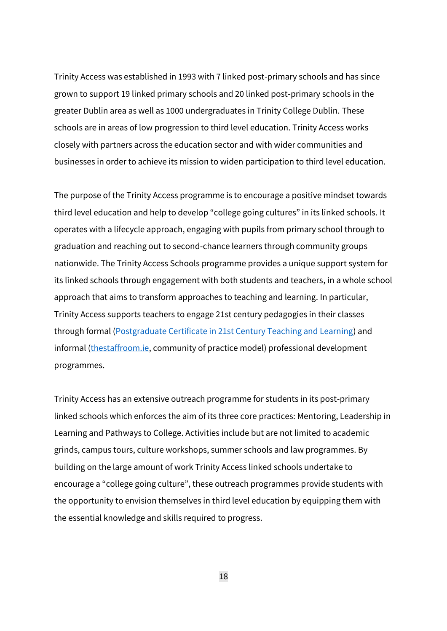Trinity Access was established in 1993 with 7 linked post-primary schools and has since grown to support 19 linked primary schools and 20 linked post-primary schools in the greater Dublin area as well as 1000 undergraduates in Trinity College Dublin. These schools are in areas of low progression to third level education. Trinity Access works closely with partners across the education sector and with wider communities and businesses in order to achieve its mission to widen participation to third level education.

The purpose of the Trinity Access programme is to encourage a positive mindset towards third level education and help to develop "college going cultures" in its linked schools. It operates with a lifecycle approach, engaging with pupils from primary school through to graduation and reaching out to second-chance learners through community groups nationwide. The Trinity Access Schools programme provides a unique support system for its linked schools through engagement with both students and teachers, in a whole school approach that aims to transform approaches to teaching and learning. In particular, Trinity Access supports teachers to engage 21st century pedagogies in their classes through formal [\(Postgraduate Certificate in 21st Century Teaching and Learning\)](https://www.tcd.ie/Education/programmes/certificate-21Century-Teaching-Learning/) and informal [\(thestaffroom.ie,](http://www.thestaffroom.ie/) community of practice model) professional development programmes.

Trinity Access has an extensive outreach programme for students in its post-primary linked schools which enforces the aim of its three core practices: Mentoring, Leadership in Learning and Pathways to College. Activities include but are not limited to academic grinds, campus tours, culture workshops, summer schools and law programmes. By building on the large amount of work Trinity Access linked schools undertake to encourage a "college going culture", these outreach programmes provide students with the opportunity to envision themselves in third level education by equipping them with the essential knowledge and skills required to progress.

18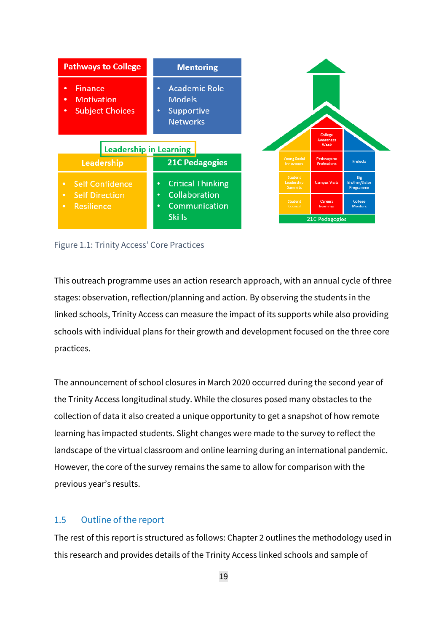

Figure 1.1: Trinity Access' Core Practices

This outreach programme uses an action research approach, with an annual cycle of three stages: observation, reflection/planning and action. By observing the students in the linked schools, Trinity Access can measure the impact of its supports while also providing schools with individual plans for their growth and development focused on the three core practices.

The announcement of school closures in March 2020 occurred during the second year of the Trinity Access longitudinal study. While the closures posed many obstacles to the collection of data it also created a unique opportunity to get a snapshot of how remote learning has impacted students. Slight changes were made to the survey to reflect the landscape of the virtual classroom and online learning during an international pandemic. However, the core of the survey remains the same to allow for comparison with the previous year's results.

#### <span id="page-28-0"></span>1.5 Outline of the report

The rest of this report is structured as follows: Chapter 2 outlines the methodology used in this research and provides details of the Trinity Access linked schools and sample of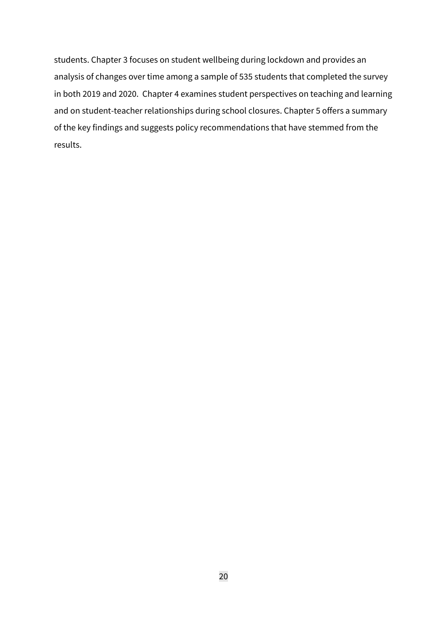students. Chapter 3 focuses on student wellbeing during lockdown and provides an analysis of changes over time among a sample of 535 students that completed the survey in both 2019 and 2020. Chapter 4 examines student perspectives on teaching and learning and on student-teacher relationships during school closures. Chapter 5 offers a summary of the key findings and suggests policy recommendations that have stemmed from the results.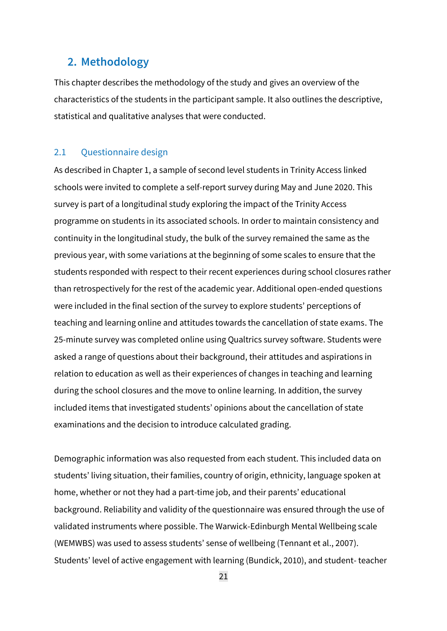## <span id="page-30-0"></span>**2. Methodology**

This chapter describes the methodology of the study and gives an overview of the characteristics of the students in the participant sample. It also outlines the descriptive, statistical and qualitative analyses that were conducted.

#### <span id="page-30-1"></span>2.1 Questionnaire design

As described in Chapter 1, a sample of second level students in Trinity Access linked schools were invited to complete a self-report survey during May and June 2020. This survey is part of a longitudinal study exploring the impact of the Trinity Access programme on students in its associated schools. In order to maintain consistency and continuity in the longitudinal study, the bulk of the survey remained the same as the previous year, with some variations at the beginning of some scales to ensure that the students responded with respect to their recent experiences during school closures rather than retrospectively for the rest of the academic year. Additional open-ended questions were included in the final section of the survey to explore students' perceptions of teaching and learning online and attitudes towards the cancellation of state exams. The 25-minute survey was completed online using Qualtrics survey software. Students were asked a range of questions about their background, their attitudes and aspirations in relation to education as well as their experiences of changes in teaching and learning during the school closures and the move to online learning. In addition, the survey included items that investigated students' opinions about the cancellation of state examinations and the decision to introduce calculated grading.

Demographic information was also requested from each student. This included data on students' living situation, their families, country of origin, ethnicity, language spoken at home, whether or not they had a part-time job, and their parents' educational background. Reliability and validity of the questionnaire was ensured through the use of validated instruments where possible. The Warwick-Edinburgh Mental Wellbeing scale (WEMWBS) was used to assess students' sense of wellbeing (Tennant et al., 2007). Students' level of active engagement with learning (Bundick, 2010), and student- teacher

21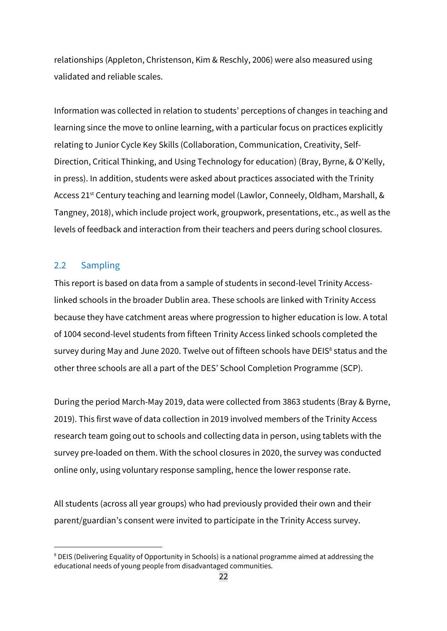relationships (Appleton, Christenson, Kim & Reschly, 2006) were also measured using validated and reliable scales.

Information was collected in relation to students' perceptions of changes in teaching and learning since the move to online learning, with a particular focus on practices explicitly relating to Junior Cycle Key Skills (Collaboration, Communication, Creativity, Self-Direction, Critical Thinking, and Using Technology for education) (Bray, Byrne, & O'Kelly, in press). In addition, students were asked about practices associated with the Trinity Access 21<sup>st</sup> Century teaching and learning model (Lawlor, Conneely, Oldham, Marshall, & Tangney, 2018), which include project work, groupwork, presentations, etc., as well as the levels of feedback and interaction from their teachers and peers during school closures.

#### <span id="page-31-0"></span>2.2 Sampling

This report is based on data from a sample of students in second-level Trinity Accesslinked schools in the broader Dublin area. These schools are linked with Trinity Access because they have catchment areas where progression to higher education is low. A total of 1004 second-level students from fifteen Trinity Access linked schools completed the survey during May and June 2020. Twelve out of fifteen schools have DEIS<sup>8</sup> status and the other three schools are all a part of the DES' School Completion Programme (SCP).

During the period March-May 2019, data were collected from 3863 students (Bray & Byrne, 2019). This first wave of data collection in 2019 involved members of the Trinity Access research team going out to schools and collecting data in person, using tablets with the survey pre-loaded on them. With the school closures in 2020, the survey was conducted online only, using voluntary response sampling, hence the lower response rate.

All students (across all year groups) who had previously provided their own and their parent/guardian's consent were invited to participate in the Trinity Access survey.

<sup>&</sup>lt;sup>8</sup> DEIS (Delivering Equality of Opportunity in Schools) is a national programme aimed at addressing the educational needs of young people from disadvantaged communities.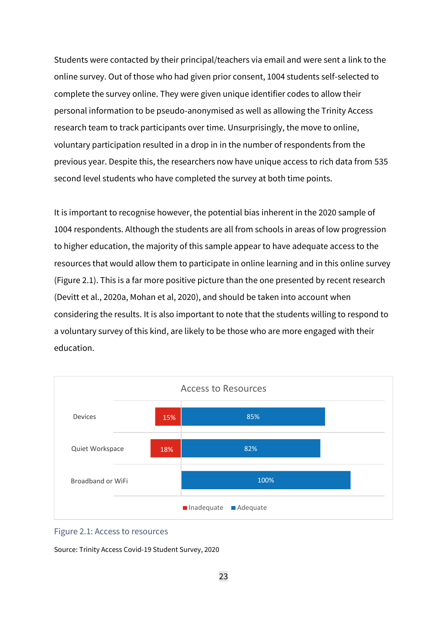Students were contacted by their principal/teachers via email and were sent a link to the online survey. Out of those who had given prior consent, 1004 students self-selected to complete the survey online. They were given unique identifier codes to allow their personal information to be pseudo-anonymised as well as allowing the Trinity Access research team to track participants over time. Unsurprisingly, the move to online, voluntary participation resulted in a drop in in the number of respondents from the previous year. Despite this, the researchers now have unique access to rich data from 535 second level students who have completed the survey at both time points.

It is important to recognise however, the potential bias inherent in the 2020 sample of 1004 respondents. Although the students are all from schools in areas of low progression to higher education, the majority of this sample appear to have adequate access to the resources that would allow them to participate in online learning and in this online survey (Figure 2.1). This is a far more positive picture than the one presented by recent research (Devitt et al., 2020a, Mohan et al, 2020), and should be taken into account when considering the results. It is also important to note that the students willing to respond to a voluntary survey of this kind, are likely to be those who are more engaged with their education.



#### Figure 2.1: Access to resources

Source: Trinity Access Covid-19 Student Survey, 2020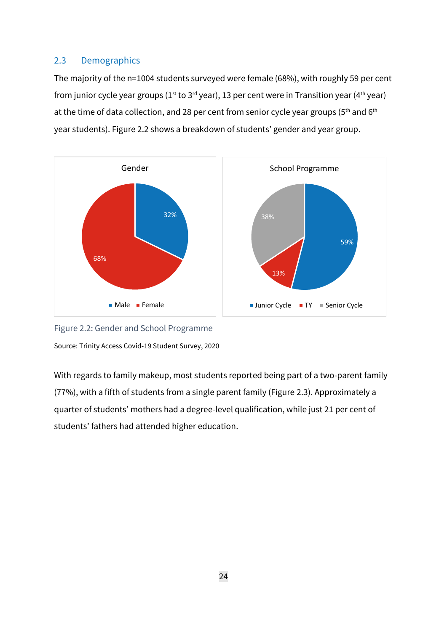## <span id="page-33-0"></span>2.3 Demographics

The majority of the n=1004 students surveyed were female (68%), with roughly 59 per cent from junior cycle year groups ( $1^{st}$  to  $3^{rd}$  year), 13 per cent were in Transition year ( $4^{th}$  year) at the time of data collection, and 28 per cent from senior cycle year groups (5<sup>th</sup> and 6<sup>th</sup> year students). Figure 2.2 shows a breakdown of students' gender and year group.



Figure 2.2: Gender and School Programme Source: Trinity Access Covid-19 Student Survey, 2020

With regards to family makeup, most students reported being part of a two-parent family (77%), with a fifth of students from a single parent family (Figure 2.3). Approximately a quarter of students' mothers had a degree-level qualification, while just 21 per cent of students' fathers had attended higher education.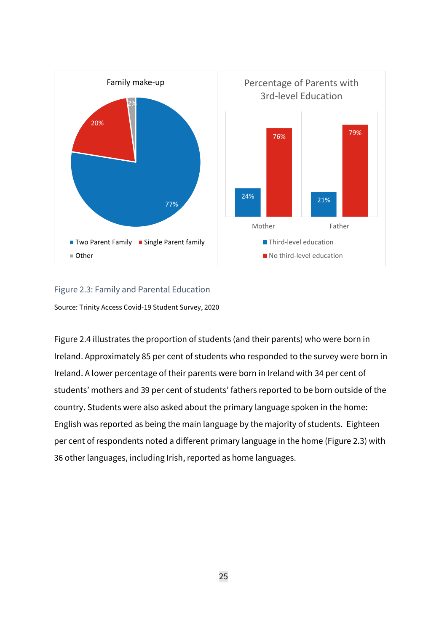

#### Figure 2.3: Family and Parental Education

Source: Trinity Access Covid-19 Student Survey, 2020

Figure 2.4 illustrates the proportion of students (and their parents) who were born in Ireland. Approximately 85 per cent of students who responded to the survey were born in Ireland. A lower percentage of their parents were born in Ireland with 34 per cent of students' mothers and 39 per cent of students' fathers reported to be born outside of the country. Students were also asked about the primary language spoken in the home: English was reported as being the main language by the majority of students. Eighteen per cent of respondents noted a different primary language in the home (Figure 2.3) with 36 other languages, including Irish, reported as home languages.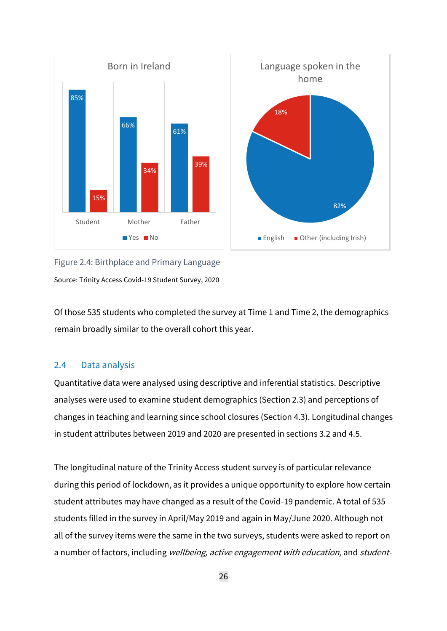

Figure 2.4: Birthplace and Primary Language Source: Trinity Access Covid-19 Student Survey, 2020

Of those 535 students who completed the survey at Time 1 and Time 2, the demographics remain broadly similar to the overall cohort this year.

### <span id="page-35-0"></span>2.4 Data analysis

Quantitative data were analysed using descriptive and inferential statistics. Descriptive analyses were used to examine student demographics (Section 2.3) and perceptions of changes in teaching and learning since school closures (Section 4.3). Longitudinal changes in student attributes between 2019 and 2020 are presented in sections 3.2 and 4.5.

The longitudinal nature of the Trinity Access student survey is of particular relevance during this period of lockdown, as it provides a unique opportunity to explore how certain student attributes may have changed as a result of the Covid-19 pandemic. A total of 535 students filled in the survey in April/May 2019 and again in May/June 2020. Although not all of the survey items were the same in the two surveys, students were asked to report on a number of factors, including wellbeing, active engagement with education, and student-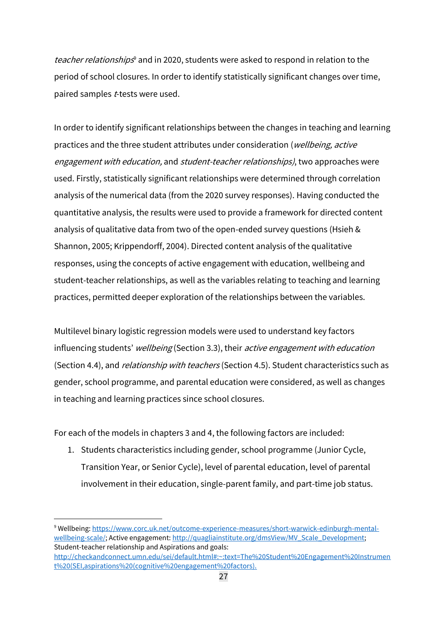teacher relationships<sup>9</sup> and in 2020, students were asked to respond in relation to the period of school closures. In order to identify statistically significant changes over time, paired samples *t*-tests were used.

In order to identify significant relationships between the changes in teaching and learning practices and the three student attributes under consideration (wellbeing, active engagement with education, and student-teacher relationships), two approaches were used. Firstly, statistically significant relationships were determined through correlation analysis of the numerical data (from the 2020 survey responses). Having conducted the quantitative analysis, the results were used to provide a framework for directed content analysis of qualitative data from two of the open-ended survey questions (Hsieh & Shannon, 2005; Krippendorff, 2004). Directed content analysis of the qualitative responses, using the concepts of active engagement with education, wellbeing and student-teacher relationships, as well as the variables relating to teaching and learning practices, permitted deeper exploration of the relationships between the variables.

Multilevel binary logistic regression models were used to understand key factors influencing students' wellbeing (Section 3.3), their active engagement with education (Section 4.4), and *relationship with teachers* (Section 4.5). Student characteristics such as gender, school programme, and parental education were considered, as well as changes in teaching and learning practices since school closures.

For each of the models in chapters 3 and 4, the following factors are included:

1. Students characteristics including gender, school programme (Junior Cycle, Transition Year, or Senior Cycle), level of parental education, level of parental involvement in their education, single-parent family, and part-time job status.

<sup>9</sup> Wellbeing: [https://www.corc.uk.net/outcome-experience-measures/short-warwick-edinburgh-mental](https://www.corc.uk.net/outcome-experience-measures/short-warwick-edinburgh-mental-wellbeing-scale/)[wellbeing-scale/;](https://www.corc.uk.net/outcome-experience-measures/short-warwick-edinburgh-mental-wellbeing-scale/) Active engagement[: http://quagliainstitute.org/dmsView/MV\\_Scale\\_Development;](http://quagliainstitute.org/dmsView/MV_Scale_Development) Student-teacher relationship and Aspirations and goals: [http://checkandconnect.umn.edu/sei/default.html#:~:text=The%20Student%20Engagement%20Instrumen](http://checkandconnect.umn.edu/sei/default.html#:~:text=The%20Student%20Engagement%20Instrument%20(SEI,aspirations%20(cognitive%20engagement%20factors).) [t%20\(SEI,aspirations%20\(cognitive%20engagement%20factors\).](http://checkandconnect.umn.edu/sei/default.html#:~:text=The%20Student%20Engagement%20Instrument%20(SEI,aspirations%20(cognitive%20engagement%20factors).)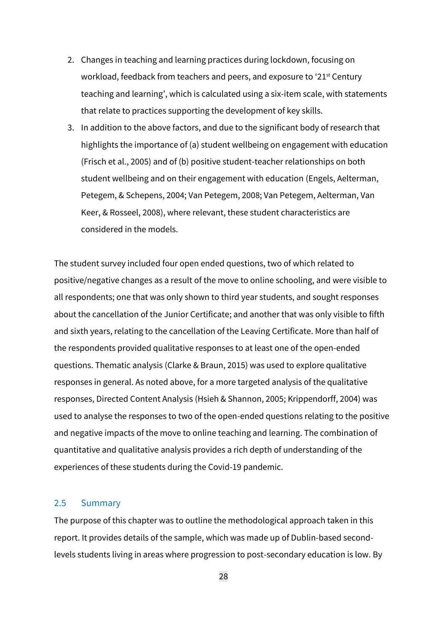- 2. Changes in teaching and learning practices during lockdown, focusing on workload, feedback from teachers and peers, and exposure to '21<sup>st</sup> Century teaching and learning', which is calculated using a six-item scale, with statements that relate to practices supporting the development of key skills.
- 3. In addition to the above factors, and due to the significant body of research that highlights the importance of (a) student wellbeing on engagement with education (Frisch et al., 2005) and of (b) positive student-teacher relationships on both student wellbeing and on their engagement with education (Engels, Aelterman, Petegem, & Schepens, 2004; Van Petegem, 2008; Van Petegem, Aelterman, Van Keer, & Rosseel, 2008), where relevant, these student characteristics are considered in the models.

The student survey included four open ended questions, two of which related to positive/negative changes as a result of the move to online schooling, and were visible to all respondents; one that was only shown to third year students, and sought responses about the cancellation of the Junior Certificate; and another that was only visible to fifth and sixth years, relating to the cancellation of the Leaving Certificate. More than half of the respondents provided qualitative responses to at least one of the open-ended questions. Thematic analysis (Clarke & Braun, 2015) was used to explore qualitative responses in general. As noted above, for a more targeted analysis of the qualitative responses, Directed Content Analysis (Hsieh & Shannon, 2005; Krippendorff, 2004) was used to analyse the responses to two of the open-ended questions relating to the positive and negative impacts of the move to online teaching and learning. The combination of quantitative and qualitative analysis provides a rich depth of understanding of the experiences of these students during the Covid-19 pandemic.

#### 2.5 Summary

The purpose of this chapter was to outline the methodological approach taken in this report. It provides details of the sample, which was made up of Dublin-based secondlevels students living in areas where progression to post-secondary education is low. By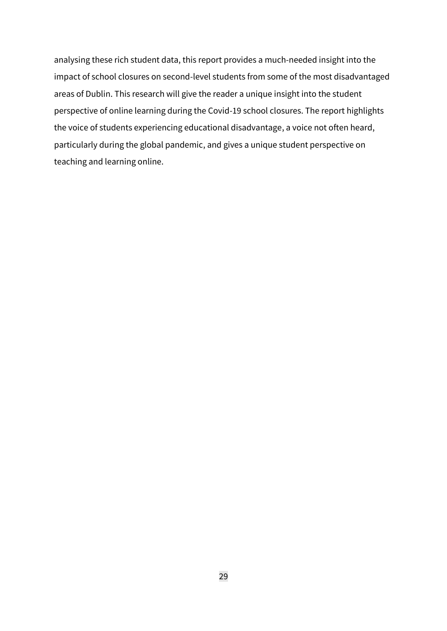analysing these rich student data, this report provides a much-needed insight into the impact of school closures on second-level students from some of the most disadvantaged areas of Dublin. This research will give the reader a unique insight into the student perspective of online learning during the Covid-19 school closures. The report highlights the voice of students experiencing educational disadvantage, a voice not often heard, particularly during the global pandemic, and gives a unique student perspective on teaching and learning online.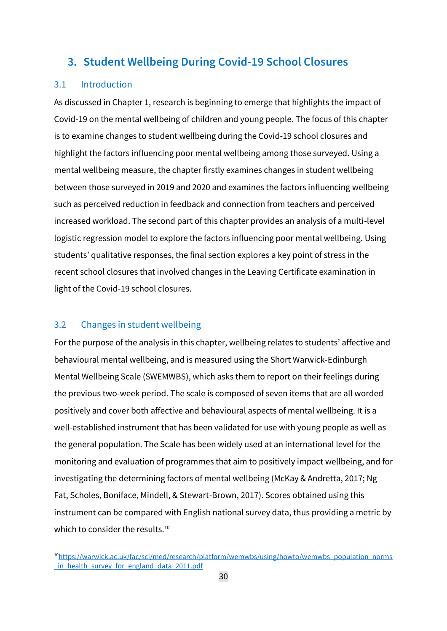## **3. Student Wellbeing During Covid-19 School Closures**

## 3.1 Introduction

As discussed in Chapter 1, research is beginning to emerge that highlights the impact of Covid-19 on the mental wellbeing of children and young people. The focus of this chapter is to examine changes to student wellbeing during the Covid-19 school closures and highlight the factors influencing poor mental wellbeing among those surveyed. Using a mental wellbeing measure, the chapter firstly examines changes in student wellbeing between those surveyed in 2019 and 2020 and examines the factors influencing wellbeing such as perceived reduction in feedback and connection from teachers and perceived increased workload. The second part of this chapter provides an analysis of a multi-level logistic regression model to explore the factors influencing poor mental wellbeing. Using students' qualitative responses, the final section explores a key point of stress in the recent school closures that involved changes in the Leaving Certificate examination in light of the Covid-19 school closures.

## 3.2 Changes in student wellbeing

For the purpose of the analysis in this chapter, wellbeing relates to students' affective and behavioural mental wellbeing, and is measured using the Short Warwick-Edinburgh Mental Wellbeing Scale (SWEMWBS), which asks them to report on their feelings during the previous two-week period. The scale is composed of seven items that are all worded positively and cover both affective and behavioural aspects of mental wellbeing. It is a well-established instrument that has been validated for use with young people as well as the general population. The Scale has been widely used at an international level for the monitoring and evaluation of programmes that aim to positively impact wellbeing, and for investigating the determining factors of mental wellbeing (McKay & Andretta, 2017; Ng Fat, Scholes, Boniface, Mindell, & Stewart-Brown, 2017). Scores obtained using this instrument can be compared with English national survey data, thus providing a metric by which to consider the results.<sup>10</sup>

<sup>10</sup>[https://warwick.ac.uk/fac/sci/med/research/platform/wemwbs/using/howto/wemwbs\\_population\\_norms](https://warwick.ac.uk/fac/sci/med/research/platform/wemwbs/using/howto/wemwbs_population_norms_in_health_survey_for_england_data_2011.pdf) in health survey for england data 2011.pdf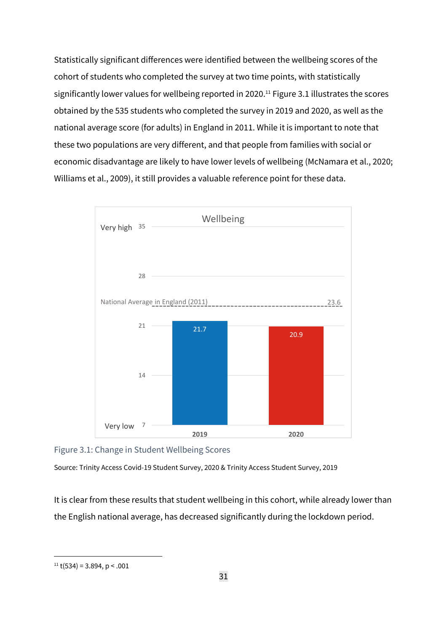Statistically significant differences were identified between the wellbeing scores of the cohort of students who completed the survey at two time points, with statistically significantly lower values for wellbeing reported in 2020.<sup>11</sup> Figure 3.1 illustrates the scores obtained by the 535 students who completed the survey in 2019 and 2020, as well as the national average score (for adults) in England in 2011. While it is important to note that these two populations are very different, and that people from families with social or economic disadvantage are likely to have lower levels of wellbeing (McNamara et al., 2020; Williams et al., 2009), it still provides a valuable reference point for these data.



Figure 3.1: Change in Student Wellbeing Scores

Source: Trinity Access Covid-19 Student Survey, 2020 & Trinity Access Student Survey, 2019

It is clear from these results that student wellbeing in this cohort, while already lower than the English national average, has decreased significantly during the lockdown period.

 $11$  t(534) = 3.894, p < .001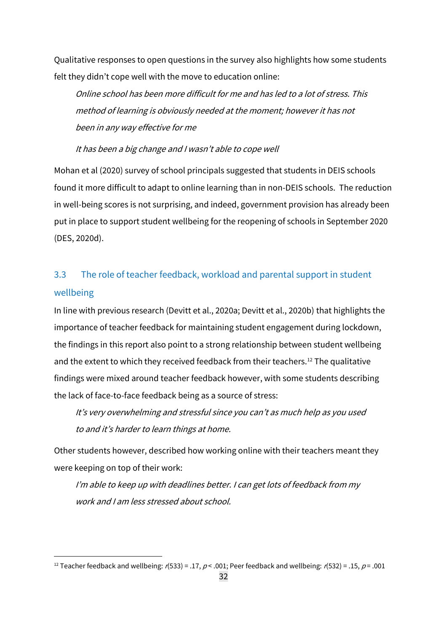Qualitative responses to open questions in the survey also highlights how some students felt they didn't cope well with the move to education online:

Online school has been more difficult for me and has led to <sup>a</sup> lot of stress. This method of learning is obviously needed at the moment; however it has not been in any way effective for me

It has been <sup>a</sup> big change and I wasn't able to cope well

Mohan et al (2020) survey of school principals suggested that students in DEIS schools found it more difficult to adapt to online learning than in non-DEIS schools. The reduction in well-being scores is not surprising, and indeed, government provision has already been put in place to support student wellbeing for the reopening of schools in September 2020 (DES, 2020d).

# 3.3 The role of teacher feedback, workload and parental support in student wellbeing

In line with previous research (Devitt et al., 2020a; Devitt et al., 2020b) that highlights the importance of teacher feedback for maintaining student engagement during lockdown, the findings in this report also point to a strong relationship between student wellbeing and the extent to which they received feedback from their teachers.<sup>12</sup> The qualitative findings were mixed around teacher feedback however, with some students describing the lack of face-to-face feedback being as a source of stress:

It's very overwhelming and stressful since you can't as much help as you used to and it's harder to learn things at home.

Other students however, described how working online with their teachers meant they were keeping on top of their work:

I'm able to keep up with deadlines better. <sup>I</sup> can get lots of feedback from my work and I am less stressed about school.

<sup>&</sup>lt;sup>12</sup> Teacher feedback and wellbeing: r(533) = .17, p < .001; Peer feedback and wellbeing: r(532) = .15, p = .001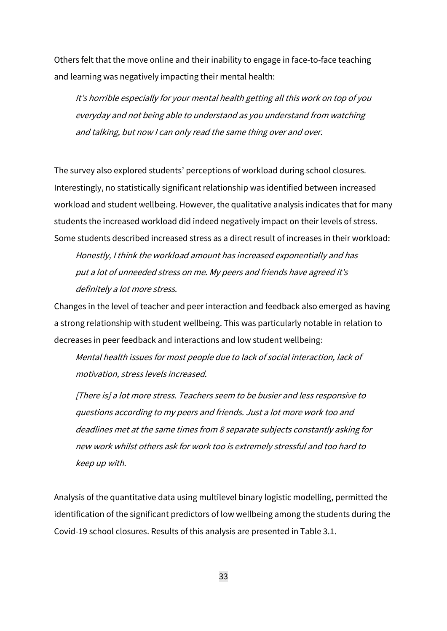Others felt that the move online and their inability to engage in face-to-face teaching and learning was negatively impacting their mental health:

<sup>I</sup>t's horrible especially for your mental health getting all this work on top of you everyday and not being able to understand as you understand from watching and talking, but now I can only read the same thing over and over.

The survey also explored students' perceptions of workload during school closures. Interestingly, no statistically significant relationship was identified between increased workload and student wellbeing. However, the qualitative analysis indicates that for many students the increased workload did indeed negatively impact on their levels of stress. Some students described increased stress as a direct result of increases in their workload:

Honestly, I think the workload amount has increased exponentially and has put <sup>a</sup> lot of unneeded stress on me. My peers and friends have agreed it's definitely <sup>a</sup> lot more stress.

Changes in the level of teacher and peer interaction and feedback also emerged as having a strong relationship with student wellbeing. This was particularly notable in relation to decreases in peer feedback and interactions and low student wellbeing:

Mental health issues for most people due to lack of social interaction, lack of motivation, stress levels increased.

[There is] <sup>a</sup> lot more stress. Teachers seem to be busier and less responsive to questions according to my peers and friends. Just <sup>a</sup> lot more work too and deadlines met at the same times from <sup>8</sup> separate subjects constantly asking for new work whilst others ask for work too is extremely stressful and too hard to keep up with.

Analysis of the quantitative data using multilevel binary logistic modelling, permitted the identification of the significant predictors of low wellbeing among the students during the Covid-19 school closures. Results of this analysis are presented in Table 3.1.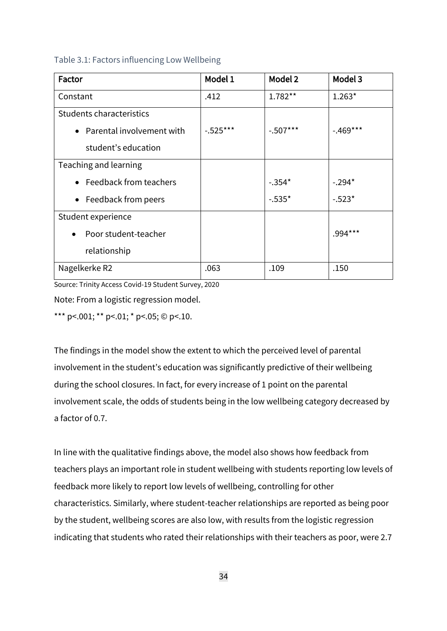### Table 3.1: Factors influencing Low Wellbeing

| Factor                            | Model 1    | Model 2    | Model 3    |
|-----------------------------------|------------|------------|------------|
| Constant                          | .412       | $1.782**$  | $1.263*$   |
| Students characteristics          |            |            |            |
| • Parental involvement with       | $-.525***$ | $-.507***$ | $-.469***$ |
| student's education               |            |            |            |
| Teaching and learning             |            |            |            |
| • Feedback from teachers          |            | $-.354*$   | $-.294*$   |
| • Feedback from peers             |            | $-.535*$   | $-.523*$   |
| Student experience                |            |            |            |
| Poor student-teacher<br>$\bullet$ |            |            | .994***    |
| relationship                      |            |            |            |
| Nagelkerke R2                     | .063       | .109       | .150       |

Source: Trinity Access Covid-19 Student Survey, 2020

Note: From a logistic regression model.

\*\*\* p <.001; \*\* p <.01; \* p <.05; © p <.10.

The findings in the model show the extent to which the perceived level of parental involvement in the student's education was significantly predictive of their wellbeing during the school closures. In fact, for every increase of 1 point on the parental involvement scale, the odds of students being in the low wellbeing category decreased by a factor of 0.7.

In line with the qualitative findings above, the model also shows how feedback from teachers plays an important role in student wellbeing with students reporting low levels of feedback more likely to report low levels of wellbeing, controlling for other characteristics. Similarly, where student-teacher relationships are reported as being poor by the student, wellbeing scores are also low, with results from the logistic regression indicating that students who rated their relationships with their teachers as poor, were 2.7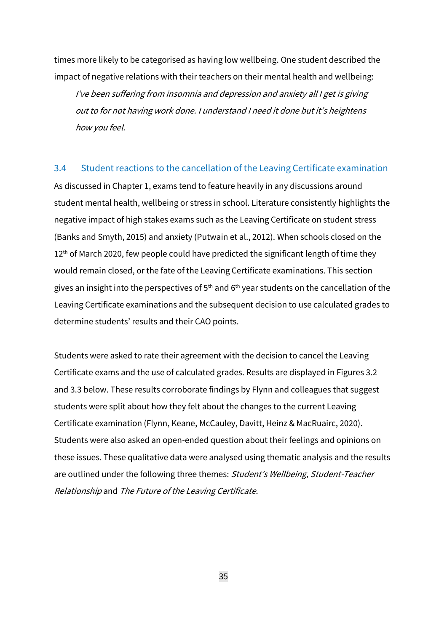times more likely to be categorised as having low wellbeing. One student described the impact of negative relations with their teachers on their mental health and wellbeing:

I've been suffering from insomnia and depression and anxiety all <sup>I</sup> get is giving out to for not having work done. <sup>I</sup> understand <sup>I</sup> need it done but it's heightens how you feel.

### 3.4 Student reactions to the cancellation of the Leaving Certificate examination

As discussed in Chapter 1, exams tend to feature heavily in any discussions around student mental health, wellbeing or stress in school. Literature consistently highlights the negative impact of high stakes exams such as the Leaving Certificate on student stress (Banks and Smyth, 2015) and anxiety (Putwain et al., 2012). When schools closed on the  $12<sup>th</sup>$  of March 2020, few people could have predicted the significant length of time they would remain closed, or the fate of the Leaving Certificate examinations. This section gives an insight into the perspectives of  $5<sup>th</sup>$  and  $6<sup>th</sup>$  year students on the cancellation of the Leaving Certificate examinations and the subsequent decision to use calculated grades to determine students' results and their CAO points.

Students were asked to rate their agreement with the decision to cancel the Leaving Certificate exams and the use of calculated grades. Results are displayed in Figures 3.2 and 3.3 below. These results corroborate findings by Flynn and colleagues that suggest students were split about how they felt about the changes to the current Leaving Certificate examination (Flynn, Keane, McCauley, Davitt, Heinz & MacRuairc, 2020). Students were also asked an open-ended question about their feelings and opinions on these issues. These qualitative data were analysed using thematic analysis and the results are outlined under the following three themes: Student's Wellbeing, Student-Teacher Relationship and The Future of the Leaving Certificate.

35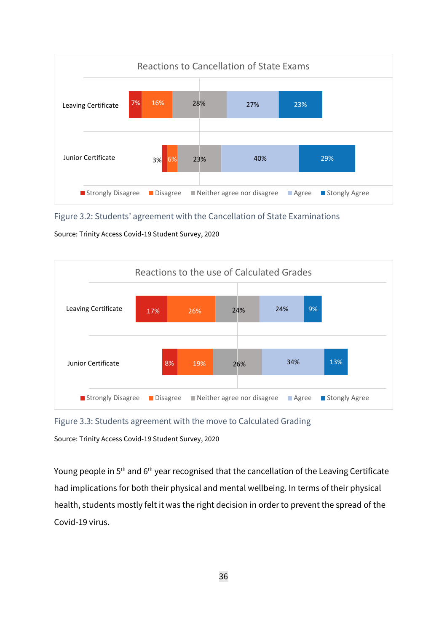

Figure 3.2: Students' agreement with the Cancellation of State Examinations

Source: Trinity Access Covid-19 Student Survey, 2020



Figure 3.3: Students agreement with the move to Calculated Grading

Source: Trinity Access Covid-19 Student Survey, 2020

Young people in 5<sup>th</sup> and 6<sup>th</sup> year recognised that the cancellation of the Leaving Certificate had implications for both their physical and mental wellbeing. In terms of their physical health, students mostly felt it was the right decision in order to prevent the spread of the Covid-19 virus.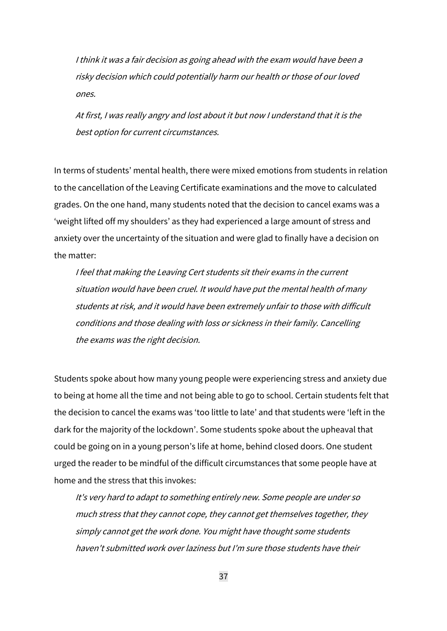<sup>I</sup> think it was <sup>a</sup> fair decision as going ahead with the exam would have been <sup>a</sup> risky decision which could potentially harm our health or those of our loved ones.

At first, <sup>I</sup> was really angry and lost about it but now <sup>I</sup> understand that it is the best option for current circumstances.

In terms of students' mental health, there were mixed emotions from students in relation to the cancellation of the Leaving Certificate examinations and the move to calculated grades. On the one hand, many students noted that the decision to cancel exams was a 'weight lifted off my shoulders' as they had experienced a large amount of stress and anxiety over the uncertainty of the situation and were glad to finally have a decision on the matter:

<sup>I</sup> feel that making the Leaving Cert students sit their exams in the current situation would have been cruel. It would have put the mental health of many students at risk, and it would have been extremely unfair to those with difficult conditions and those dealing with loss or sickness in their family. Cancelling the exams was the right decision.

Students spoke about how many young people were experiencing stress and anxiety due to being at home all the time and not being able to go to school. Certain students felt that the decision to cancel the exams was 'too little to late' and that students were 'left in the dark for the majority of the lockdown'. Some students spoke about the upheaval that could be going on in a young person's life at home, behind closed doors. One student urged the reader to be mindful of the difficult circumstances that some people have at home and the stress that this invokes:

It's very hard to adapt to something entirely new. Some people are under so much stress that they cannot cope, they cannot get themselves together, they simply cannot get the work done. You might have thought some students haven't submitted work over laziness but I'm sure those students have their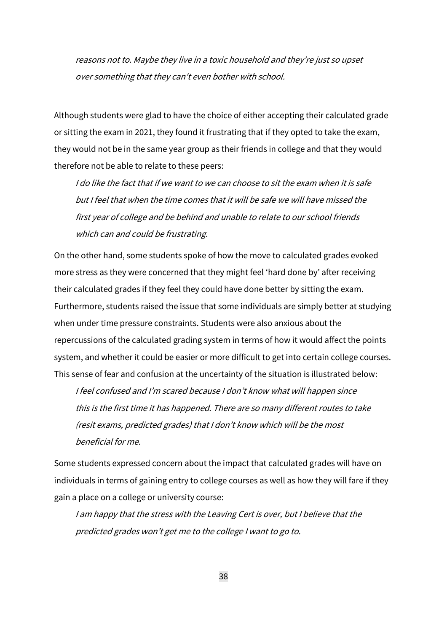reasons not to. Maybe they live in <sup>a</sup> toxic household and they're just so upset over something that they can't even bother with school.

Although students were glad to have the choice of either accepting their calculated grade or sitting the exam in 2021, they found it frustrating that if they opted to take the exam, they would not be in the same year group as their friends in college and that they would therefore not be able to relate to these peers:

I do like the fact that if we want to we can choose to sit the exam when it is safe but I feel that when the time comes that it will be safe we will have missed the first year of college and be behind and unable to relate to our school friends which can and could be frustrating.

On the other hand, some students spoke of how the move to calculated grades evoked more stress as they were concerned that they might feel 'hard done by' after receiving their calculated grades if they feel they could have done better by sitting the exam. Furthermore, students raised the issue that some individuals are simply better at studying when under time pressure constraints. Students were also anxious about the repercussions of the calculated grading system in terms of how it would affect the points system, and whether it could be easier or more difficult to get into certain college courses. This sense of fear and confusion at the uncertainty of the situation is illustrated below:

I feel confused and I'm scared because I don't know what will happen since this is the first time it has happened. There are so many different routes to take (resit exams, predicted grades) that <sup>I</sup> don't know which will be the most beneficial for me.

Some students expressed concern about the impact that calculated grades will have on individuals in terms of gaining entry to college courses as well as how they will fare if they gain a place on a college or university course:

I am happy that the stress with the Leaving Cert is over, but I believe that the predicted grades won't get me to the college I want to go to.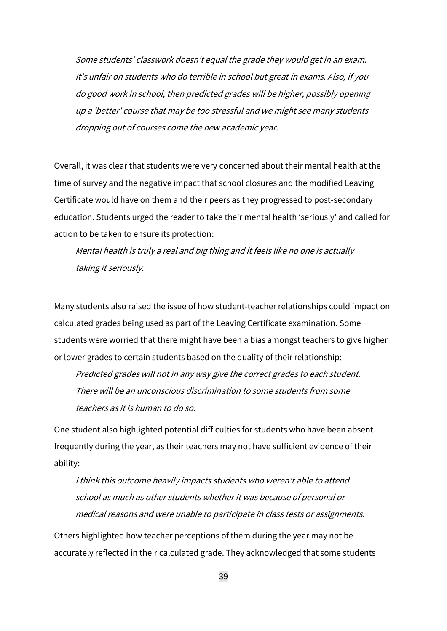Some students' classwork doesn't equal the grade they would get in an exam. It's unfair on students who do terrible in school but great in exams. Also, if you do good work in school, then predicted grades will be higher, possibly opening up <sup>a</sup> 'better' course that may be too stressful and we might see many students dropping out of courses come the new academic year.

Overall, it was clear that students were very concerned about their mental health at the time of survey and the negative impact that school closures and the modified Leaving Certificate would have on them and their peers as they progressed to post-secondary education. Students urged the reader to take their mental health 'seriously' and called for action to be taken to ensure its protection:

Mental health is truly <sup>a</sup> real and big thing and it feels like no one is actually taking it seriously.

Many students also raised the issue of how student-teacher relationships could impact on calculated grades being used as part of the Leaving Certificate examination. Some students were worried that there might have been a bias amongst teachers to give higher or lower grades to certain students based on the quality of their relationship:

Predicted grades will not in any way give the correct grades to each student. There will be an unconscious discrimination to some students from some teachers as it is human to do so.

One student also highlighted potential difficulties for students who have been absent frequently during the year, as their teachers may not have sufficient evidence of their ability:

I think this outcome heavily impacts students who weren't able to attend school as much as other students whether it was because of personal or medical reasons and were unable to participate in class tests or assignments.

Others highlighted how teacher perceptions of them during the year may not be accurately reflected in their calculated grade. They acknowledged that some students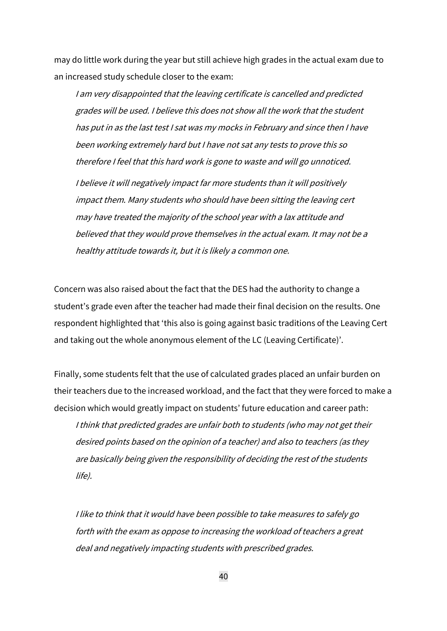may do little work during the year but still achieve high grades in the actual exam due to an increased study schedule closer to the exam:

<sup>I</sup> am very disappointed that the leaving certificate is cancelled and predicted grades will be used. I believe this does not show all the work that the student has put in as the last test I sat was my mocks in February and since then I have been working extremely hard but I have not sat any tests to prove this so therefore <sup>I</sup> feel that this hard work is gone to waste and will go unnoticed. <sup>I</sup> believe it will negatively impact far more students than it will positively impact them. Many students who should have been sitting the leaving cert may have treated the majority of the school year with <sup>a</sup> lax attitude and believed that they would prove themselves in the actual exam. It may not be <sup>a</sup> healthy attitude towards it, but it is likely <sup>a</sup> common one.

Concern was also raised about the fact that the DES had the authority to change a student's grade even after the teacher had made their final decision on the results. One respondent highlighted that 'this also is going against basic traditions of the Leaving Cert and taking out the whole anonymous element of the LC (Leaving Certificate)'.

Finally, some students felt that the use of calculated grades placed an unfair burden on their teachers due to the increased workload, and the fact that they were forced to make a decision which would greatly impact on students' future education and career path: <sup>I</sup> think that predicted grades are unfair both to students (who may not get their desired points based on the opinion of <sup>a</sup> teacher) and also to teachers (as they are basically being given the responsibility of deciding the rest of the students life).

<sup>I</sup> like to think that it would have been possible to take measures to safely go forth with the exam as oppose to increasing the workload of teachers <sup>a</sup> great deal and negatively impacting students with prescribed grades.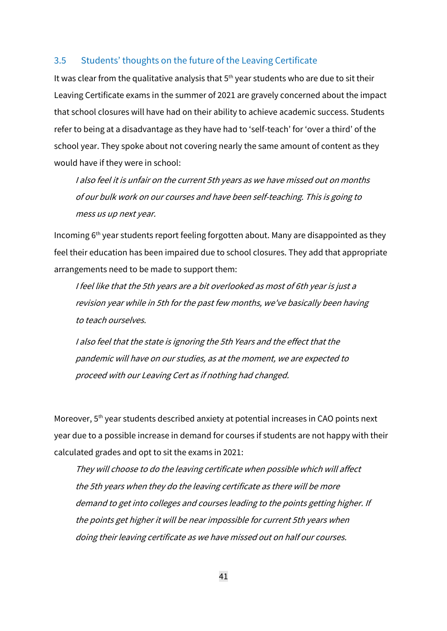#### 3.5 Students' thoughts on the future of the Leaving Certificate

It was clear from the qualitative analysis that  $5<sup>th</sup>$  year students who are due to sit their Leaving Certificate exams in the summer of 2021 are gravely concerned about the impact that school closures will have had on their ability to achieve academic success. Students refer to being at a disadvantage as they have had to 'self-teach' for 'over a third' of the school year. They spoke about not covering nearly the same amount of content as they would have if they were in school:

I also feel it is unfair on the current 5th years as we have missed out on months of our bulk work on our courses and have been self-teaching. This is going to mess us up next year.

Incoming 6th year students report feeling forgotten about. Many are disappointed as they feel their education has been impaired due to school closures. They add that appropriate arrangements need to be made to support them:

<sup>I</sup> feel like that the 5th years are <sup>a</sup> bit overlooked as most of 6th year is just <sup>a</sup> revision year while in 5th for the past few months, we've basically been having to teach ourselves.

<sup>I</sup> also feel that the state is ignoring the 5th Years and the effect that the pandemic will have on our studies, as at the moment, we are expected to proceed with our Leaving Cert as if nothing had changed.

Moreover, 5<sup>th</sup> year students described anxiety at potential increases in CAO points next year due to a possible increase in demand for courses if students are not happy with their calculated grades and opt to sit the exams in 2021:

They will choose to do the leaving certificate when possible which will affect the 5th years when they do the leaving certificate as there will be more demand to get into colleges and courses leading to the points getting higher. If the points get higher it will be near impossible for current 5th years when doing their leaving certificate as we have missed out on half our courses.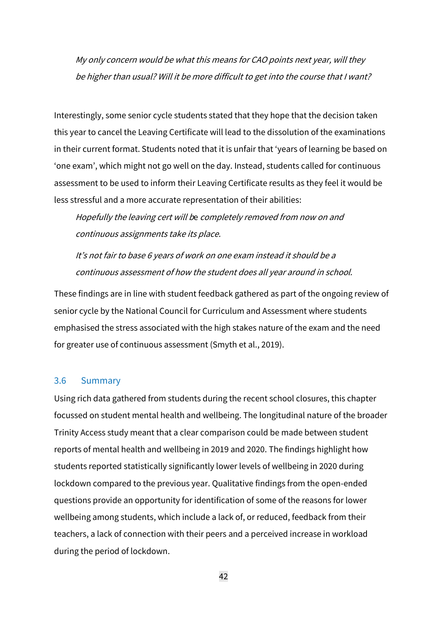My only concern would be what this means for CAO points next year, will they be higher than usual? Will it be more difficult to get into the course that <sup>I</sup> want?

Interestingly, some senior cycle students stated that they hope that the decision taken this year to cancel the Leaving Certificate will lead to the dissolution of the examinations in their current format. Students noted that it is unfair that 'years of learning be based on 'one exam', which might not go well on the day. Instead, students called for continuous assessment to be used to inform their Leaving Certificate results as they feel it would be less stressful and a more accurate representation of their abilities:

Hopefully the leaving cert will be completely removed from now on and continuous assignments take its place.

It's not fair to base 6 years of work on one exam instead it should be <sup>a</sup> continuous assessment of how the student does all year around in school.

These findings are in line with student feedback gathered as part of the ongoing review of senior cycle by the National Council for Curriculum and Assessment where students emphasised the stress associated with the high stakes nature of the exam and the need for greater use of continuous assessment (Smyth et al., 2019).

### 3.6 Summary

Using rich data gathered from students during the recent school closures, this chapter focussed on student mental health and wellbeing. The longitudinal nature of the broader Trinity Access study meant that a clear comparison could be made between student reports of mental health and wellbeing in 2019 and 2020. The findings highlight how students reported statistically significantly lower levels of wellbeing in 2020 during lockdown compared to the previous year. Qualitative findings from the open-ended questions provide an opportunity for identification of some of the reasons for lower wellbeing among students, which include a lack of, or reduced, feedback from their teachers, a lack of connection with their peers and a perceived increase in workload during the period of lockdown.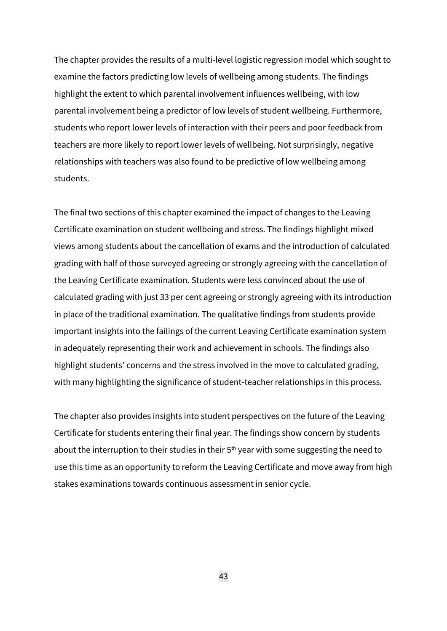The chapter provides the results of a multi-level logistic regression model which sought to examine the factors predicting low levels of wellbeing among students. The findings highlight the extent to which parental involvement influences wellbeing, with low parental involvement being a predictor of low levels of student wellbeing. Furthermore, students who report lower levels of interaction with their peers and poor feedback from teachers are more likely to report lower levels of wellbeing. Not surprisingly, negative relationships with teachers was also found to be predictive of low wellbeing among students.

The final two sections of this chapter examined the impact of changes to the Leaving Certificate examination on student wellbeing and stress. The findings highlight mixed views among students about the cancellation of exams and the introduction of calculated grading with half of those surveyed agreeing or strongly agreeing with the cancellation of the Leaving Certificate examination. Students were less convinced about the use of calculated grading with just 33 per cent agreeing or strongly agreeing with its introduction in place of the traditional examination. The qualitative findings from students provide important insights into the failings of the current Leaving Certificate examination system in adequately representing their work and achievement in schools. The findings also highlight students' concerns and the stress involved in the move to calculated grading, with many highlighting the significance of student-teacher relationships in this process.

The chapter also provides insights into student perspectives on the future of the Leaving Certificate for students entering their final year. The findings show concern by students about the interruption to their studies in their  $5<sup>th</sup>$  year with some suggesting the need to use this time as an opportunity to reform the Leaving Certificate and move away from high stakes examinations towards continuous assessment in senior cycle.

43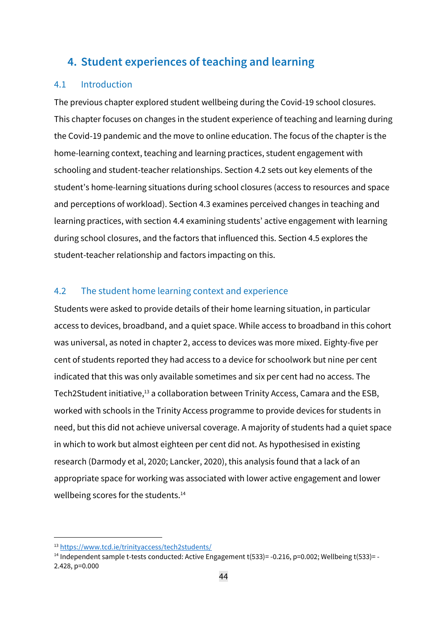## **4. Student experiences of teaching and learning**

## 4.1 Introduction

The previous chapter explored student wellbeing during the Covid-19 school closures. This chapter focuses on changes in the student experience of teaching and learning during the Covid-19 pandemic and the move to online education. The focus of the chapter is the home-learning context, teaching and learning practices, student engagement with schooling and student-teacher relationships. Section 4.2 sets out key elements of the student's home-learning situations during school closures (access to resources and space and perceptions of workload). Section 4.3 examines perceived changes in teaching and learning practices, with section 4.4 examining students' active engagement with learning during school closures, and the factors that influenced this. Section 4.5 explores the student-teacher relationship and factors impacting on this.

## 4.2 The student home learning context and experience

Students were asked to provide details of their home learning situation, in particular access to devices, broadband, and a quiet space. While access to broadband in this cohort was universal, as noted in chapter 2, access to devices was more mixed. Eighty-five per cent of students reported they had access to a device for schoolwork but nine per cent indicated that this was only available sometimes and six per cent had no access. The Tech2Student initiative,<sup>13</sup> a collaboration between Trinity Access, Camara and the ESB, worked with schools in the Trinity Access programme to provide devices for students in need, but this did not achieve universal coverage. A majority of students had a quiet space in which to work but almost eighteen per cent did not. As hypothesised in existing research (Darmody et al, 2020; Lancker, 2020), this analysis found that a lack of an appropriate space for working was associated with lower active engagement and lower wellbeing scores for the students.<sup>14</sup>

<sup>13</sup> <https://www.tcd.ie/trinityaccess/tech2students/>

<sup>&</sup>lt;sup>14</sup> Independent sample t-tests conducted: Active Engagement t(533)= -0.216, p=0.002; Wellbeing t(533)= -2.428, p=0.000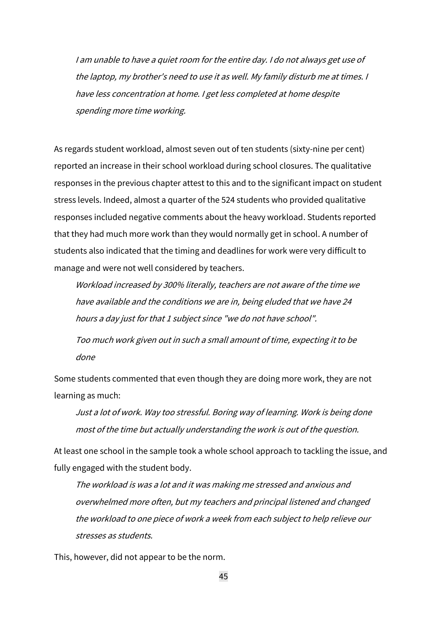<sup>I</sup> am unable to have <sup>a</sup> quiet room for the entire day. <sup>I</sup> do not always get use of the laptop, my brother's need to use it as well. My family disturb me at times. I have less concentration at home. I get less completed at home despite spending more time working.

As regards student workload, almost seven out of ten students (sixty-nine per cent) reported an increase in their school workload during school closures. The qualitative responses in the previous chapter attest to this and to the significant impact on student stress levels. Indeed, almost a quarter of the 524 students who provided qualitative responses included negative comments about the heavy workload. Students reported that they had much more work than they would normally get in school. A number of students also indicated that the timing and deadlines for work were very difficult to manage and were not well considered by teachers.

Workload increased by 300% literally, teachers are not aware of the time we have available and the conditions we are in, being eluded that we have <sup>24</sup> hours <sup>a</sup> day just for that <sup>1</sup> subject since "we do not have school".

Too much work given out in such <sup>a</sup> small amount of time, expecting it to be done

Some students commented that even though they are doing more work, they are not learning as much:

Just <sup>a</sup> lot of work. Way too stressful. Boring way of learning. Work is being done most of the time but actually understanding the work is out of the question.

At least one school in the sample took a whole school approach to tackling the issue, and fully engaged with the student body.

The workload is was <sup>a</sup> lot and it was making me stressed and anxious and overwhelmed more often, but my teachers and principal listened and changed the workload to one piece of work <sup>a</sup> week from each subject to help relieve our stresses as students.

This, however, did not appear to be the norm.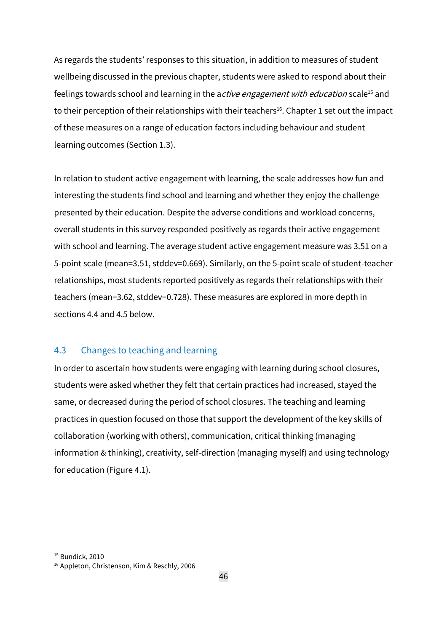As regards the students' responses to this situation, in addition to measures of student wellbeing discussed in the previous chapter, students were asked to respond about their feelings towards school and learning in the active engagement with education scale<sup>15</sup> and to their perception of their relationships with their teachers<sup>16</sup>. Chapter 1 set out the impact of these measures on a range of education factors including behaviour and student learning outcomes (Section 1.3).

In relation to student active engagement with learning, the scale addresses how fun and interesting the students find school and learning and whether they enjoy the challenge presented by their education. Despite the adverse conditions and workload concerns, overall students in this survey responded positively as regards their active engagement with school and learning. The average student active engagement measure was 3.51 on a 5-point scale (mean=3.51, stddev=0.669). Similarly, on the 5-point scale of student-teacher relationships, most students reported positively as regards their relationships with their teachers (mean=3.62, stddev=0.728). These measures are explored in more depth in sections 4.4 and 4.5 below.

## 4.3 Changes to teaching and learning

In order to ascertain how students were engaging with learning during school closures, students were asked whether they felt that certain practices had increased, stayed the same, or decreased during the period of school closures. The teaching and learning practices in question focused on those that support the development of the key skills of collaboration (working with others), communication, critical thinking (managing information & thinking), creativity, self-direction (managing myself) and using technology for education (Figure 4.1).

<sup>&</sup>lt;sup>15</sup> Bundick, 2010

<sup>16</sup> Appleton, Christenson, Kim & Reschly, 2006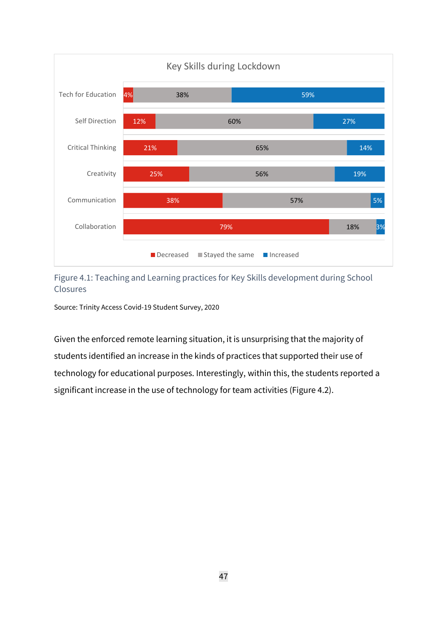

## Figure 4.1: Teaching and Learning practices for Key Skills development during School Closures

Source: Trinity Access Covid-19 Student Survey, 2020

Given the enforced remote learning situation, it is unsurprising that the majority of students identified an increase in the kinds of practices that supported their use of technology for educational purposes. Interestingly, within this, the students reported a significant increase in the use of technology for team activities (Figure 4.2).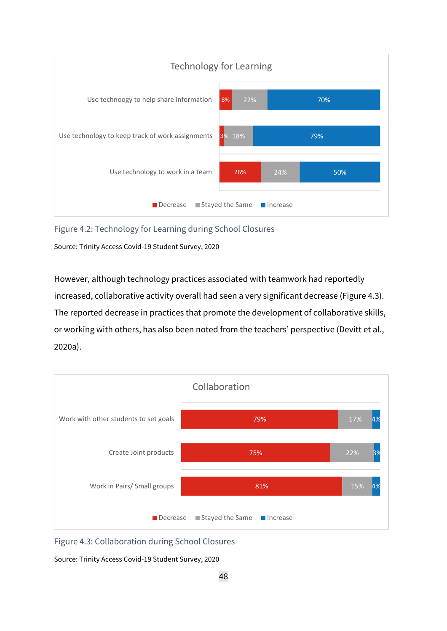

Figure 4.2: Technology for Learning during School Closures

Source: Trinity Access Covid-19 Student Survey, 2020

However, although technology practices associated with teamwork had reportedly increased, collaborative activity overall had seen a very significant decrease (Figure 4.3). The reported decrease in practices that promote the development of collaborative skills, or working with others, has also been noted from the teachers' perspective (Devitt et al., 2020a).



Figure 4.3: Collaboration during School Closures

Source: Trinity Access Covid-19 Student Survey, 2020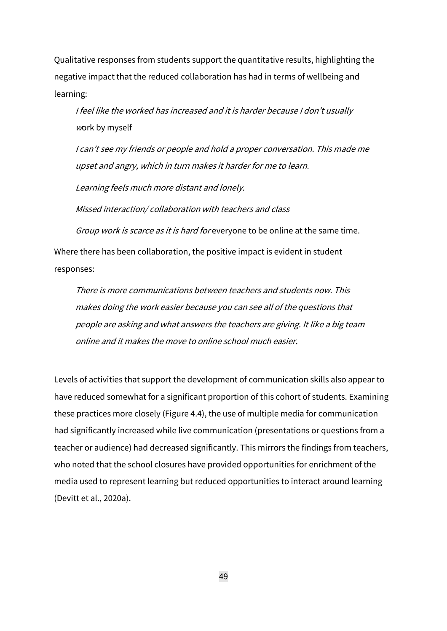Qualitative responses from students support the quantitative results, highlighting the negative impact that the reduced collaboration has had in terms of wellbeing and learning:

I feel like the worked has increased and it is harder because I don't usually <sup>w</sup>ork by myself

I can't see my friends or people and hold <sup>a</sup> proper conversation. This made me upset and angry, which in turn makes it harder for me to learn.

Learning feels much more distant and lonely.

Missed interaction/ collaboration with teachers and class

Group work is scarce as it is hard for everyone to be online at the same time.

Where there has been collaboration, the positive impact is evident in student responses:

There is more communications between teachers and students now. This makes doing the work easier because you can see all of the questions that people are asking and what answers the teachers are giving. It like <sup>a</sup> big team online and it makes the move to online school much easier.

Levels of activities that support the development of communication skills also appear to have reduced somewhat for a significant proportion of this cohort of students. Examining these practices more closely (Figure 4.4), the use of multiple media for communication had significantly increased while live communication (presentations or questions from a teacher or audience) had decreased significantly. This mirrors the findings from teachers, who noted that the school closures have provided opportunities for enrichment of the media used to represent learning but reduced opportunities to interact around learning (Devitt et al., 2020a).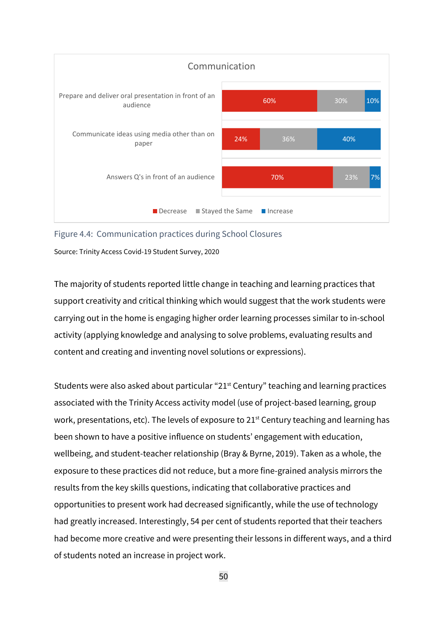

Figure 4.4: Communication practices during School Closures

Source: Trinity Access Covid-19 Student Survey, 2020

The majority of students reported little change in teaching and learning practices that support creativity and critical thinking which would suggest that the work students were carrying out in the home is engaging higher order learning processes similar to in-school activity (applying knowledge and analysing to solve problems, evaluating results and content and creating and inventing novel solutions or expressions).

Students were also asked about particular "21st Century" teaching and learning practices associated with the Trinity Access activity model (use of project-based learning, group work, presentations, etc). The levels of exposure to 21<sup>st</sup> Century teaching and learning has been shown to have a positive influence on students' engagement with education, wellbeing, and student-teacher relationship (Bray & Byrne, 2019). Taken as a whole, the exposure to these practices did not reduce, but a more fine-grained analysis mirrors the results from the key skills questions, indicating that collaborative practices and opportunities to present work had decreased significantly, while the use of technology had greatly increased. Interestingly, 54 per cent of students reported that their teachers had become more creative and were presenting their lessons in different ways, and a third of students noted an increase in project work.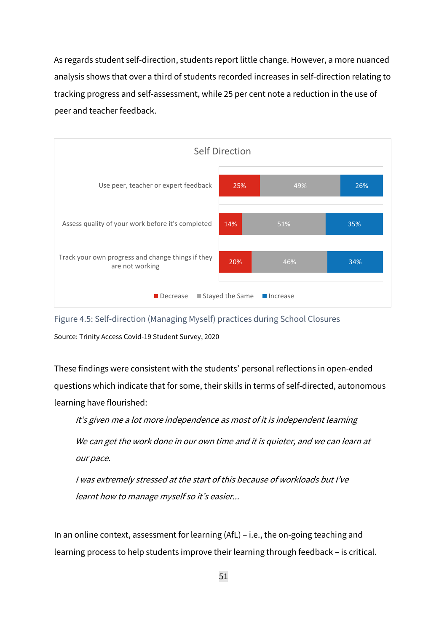As regards student self-direction, students report little change. However, a more nuanced analysis shows that over a third of students recorded increases in self-direction relating to tracking progress and self-assessment, while 25 per cent note a reduction in the use of peer and teacher feedback.



Figure 4.5: Self-direction (Managing Myself) practices during School Closures

Source: Trinity Access Covid-19 Student Survey, 2020

These findings were consistent with the students' personal reflections in open-ended questions which indicate that for some, their skills in terms of self-directed, autonomous learning have flourished:

It's given me <sup>a</sup> lot more independence as most of it is independent learning

We can get the work done in our own time and it is quieter, and we can learn at our pace.

I was extremely stressed at the start of this because of workloads but I've learnt how to manage myself so it's easier...

In an online context, assessment for learning (AfL) – i.e., the on-going teaching and learning process to help students improve their learning through feedback – is critical.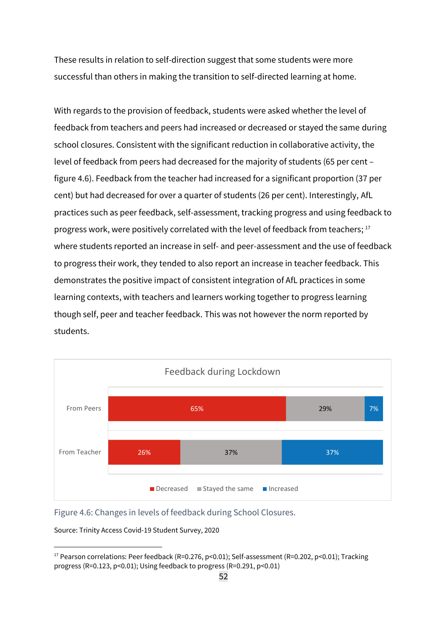These results in relation to self-direction suggest that some students were more successful than others in making the transition to self-directed learning at home.

With regards to the provision of feedback, students were asked whether the level of feedback from teachers and peers had increased or decreased or stayed the same during school closures. Consistent with the significant reduction in collaborative activity, the level of feedback from peers had decreased for the majority of students (65 per cent – figure 4.6). Feedback from the teacher had increased for a significant proportion (37 per cent) but had decreased for over a quarter of students (26 per cent). Interestingly, AfL practices such as peer feedback, self-assessment, tracking progress and using feedback to progress work, were positively correlated with the level of feedback from teachers;<sup>17</sup> where students reported an increase in self- and peer-assessment and the use of feedback to progress their work, they tended to also report an increase in teacher feedback. This demonstrates the positive impact of consistent integration of AfL practices in some learning contexts, with teachers and learners working together to progress learning though self, peer and teacher feedback. This was not however the norm reported by students.



Figure 4.6: Changes in levels of feedback during School Closures.

Source: Trinity Access Covid-19 Student Survey, 2020

<sup>&</sup>lt;sup>17</sup> Pearson correlations: Peer feedback (R=0.276, p<0.01); Self-assessment (R=0.202, p<0.01); Tracking progress (R=0.123, p<0.01); Using feedback to progress (R=0.291, p<0.01)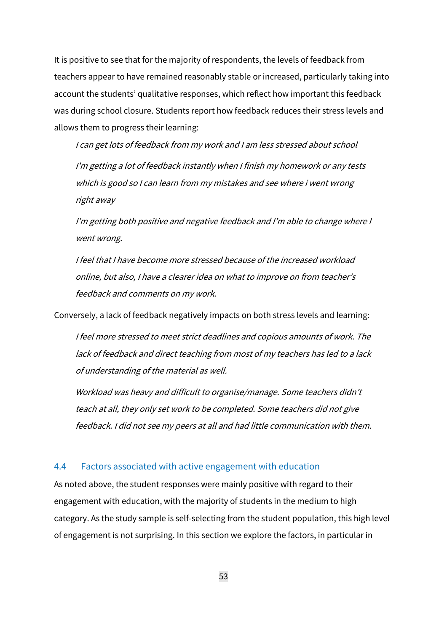It is positive to see that for the majority of respondents, the levels of feedback from teachers appear to have remained reasonably stable or increased, particularly taking into account the students' qualitative responses, which reflect how important this feedback was during school closure. Students report how feedback reduces their stress levels and allows them to progress their learning:

<sup>I</sup> can get lots of feedback from my work and <sup>I</sup> am less stressed about school I'm getting <sup>a</sup> lot of feedback instantly when <sup>I</sup> finish my homework or any tests which is good so <sup>I</sup> can learn from my mistakes and see where i went wrong right away

I'm getting both positive and negative feedback and I'm able to change where <sup>I</sup> went wrong.

I feel that I have become more stressed because of the increased workload online, but also, I have <sup>a</sup> clearer idea on what to improve on from teacher's feedback and comments on my work.

Conversely, a lack of feedback negatively impacts on both stress levels and learning:

I feel more stressed to meet strict deadlines and copious amounts of work. The lack of feedback and direct teaching from most of my teachers has led to <sup>a</sup> lack of understanding of the material as well.

Workload was heavy and difficult to organise/manage. Some teachers didn't teach at all, they only set work to be completed. Some teachers did not give feedback. I did not see my peers at all and had little communication with them.

### 4.4 Factors associated with active engagement with education

As noted above, the student responses were mainly positive with regard to their engagement with education, with the majority of students in the medium to high category. As the study sample is self-selecting from the student population, this high level of engagement is not surprising. In this section we explore the factors, in particular in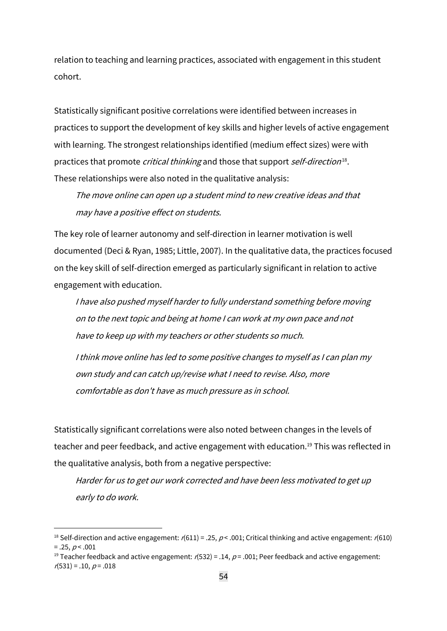relation to teaching and learning practices, associated with engagement in this student cohort.

Statistically significant positive correlations were identified between increases in practices to support the development of key skills and higher levels of active engagement with learning. The strongest relationships identified (medium effect sizes) were with practices that promote *critical thinking* and those that support self-direction<sup>18</sup>. These relationships were also noted in the qualitative analysis:

The move online can open up <sup>a</sup> student mind to new creative ideas and that may have <sup>a</sup> positive effect on students.

The key role of learner autonomy and self-direction in learner motivation is well documented (Deci & Ryan, 1985; Little, 2007). In the qualitative data, the practices focused on the key skill of self-direction emerged as particularly significant in relation to active engagement with education.

<sup>I</sup> have also pushed myself harder to fully understand something before moving on to the next topic and being at home I can work at my own pace and not have to keep up with my teachers or other students so much.

<sup>I</sup> think move online has led to some positive changes to myself as <sup>I</sup> can plan my own study and can catch up/revise what I need to revise. Also, more comfortable as don't have as much pressure as in school.

Statistically significant correlations were also noted between changes in the levels of teacher and peer feedback, and active engagement with education. <sup>19</sup> This was reflected in the qualitative analysis, both from a negative perspective:

Harder for us to get our work corrected and have been less motivated to get up early to do work.

<sup>&</sup>lt;sup>18</sup> Self-direction and active engagement:  $r(611) = .25$ ,  $p < .001$ ; Critical thinking and active engagement:  $r(610)$  $= .25, p < .001$ 

<sup>&</sup>lt;sup>19</sup> Teacher feedback and active engagement:  $r(532) = .14$ ,  $p = .001$ ; Peer feedback and active engagement:  $r(531) = .10, p = .018$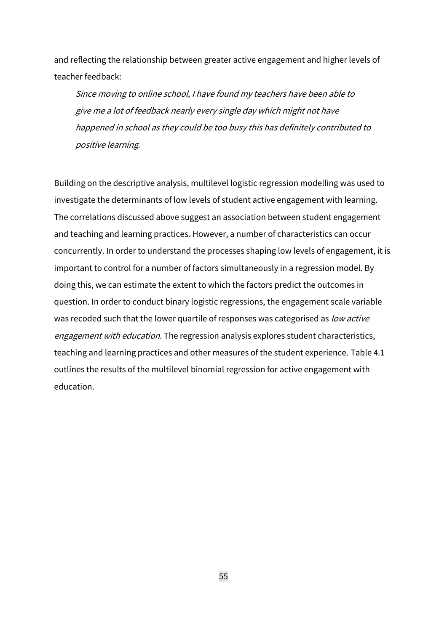and reflecting the relationship between greater active engagement and higher levels of teacher feedback:

Since moving to online school, <sup>I</sup> have found my teachers have been able to give me <sup>a</sup> lot of feedback nearly every single day which might not have happened in school as they could be too busy this has definitely contributed to positive learning.

Building on the descriptive analysis, multilevel logistic regression modelling was used to investigate the determinants of low levels of student active engagement with learning. The correlations discussed above suggest an association between student engagement and teaching and learning practices. However, a number of characteristics can occur concurrently. In order to understand the processes shaping low levels of engagement, it is important to control for a number of factors simultaneously in a regression model. By doing this, we can estimate the extent to which the factors predict the outcomes in question. In order to conduct binary logistic regressions, the engagement scale variable was recoded such that the lower quartile of responses was categorised as low active engagement with education. The regression analysis explores student characteristics, teaching and learning practices and other measures of the student experience. Table 4.1 outlines the results of the multilevel binomial regression for active engagement with education.

55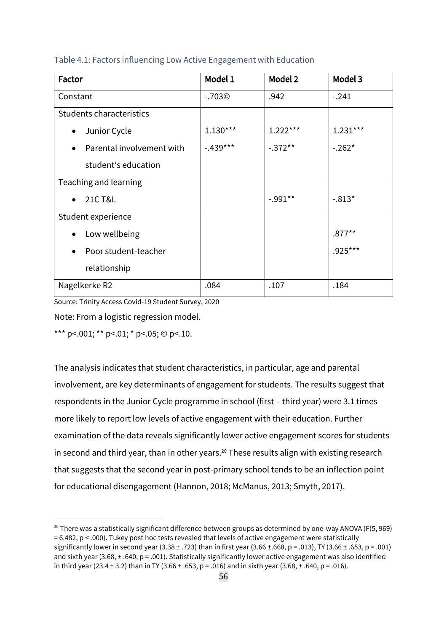| Factor                                 | Model 1    | Model 2    | Model 3    |
|----------------------------------------|------------|------------|------------|
| Constant                               | $-0.703$   | .942       | $-.241$    |
| Students characteristics               |            |            |            |
| Junior Cycle<br>$\bullet$              | $1.130***$ | $1.222***$ | $1.231***$ |
| Parental involvement with<br>$\bullet$ | $-.439***$ | $-.372**$  | $-.262*$   |
| student's education                    |            |            |            |
| Teaching and learning                  |            |            |            |
| <b>21C T&amp;L</b><br>$\bullet$        |            | $-.991**$  | $-.813*$   |
| Student experience                     |            |            |            |
| Low wellbeing<br>$\bullet$             |            |            | $.877***$  |
| Poor student-teacher<br>$\bullet$      |            |            | $.925***$  |
| relationship                           |            |            |            |
| Nagelkerke R2                          | .084       | .107       | .184       |

Table 4.1: Factors influencing Low Active Engagement with Education

Source: Trinity Access Covid-19 Student Survey, 2020

Note: From a logistic regression model.

\*\*\* p <.001; \*\* p <.01; \* p <.05; © p <.10.

The analysis indicates that student characteristics, in particular, age and parental involvement, are key determinants of engagement for students. The results suggest that respondents in the Junior Cycle programme in school (first – third year) were 3.1 times more likely to report low levels of active engagement with their education. Further examination of the data reveals significantly lower active engagement scores for students in second and third year, than in other years.<sup>20</sup> These results align with existing research that suggests that the second year in post-primary school tends to be an inflection point for educational disengagement (Hannon, 2018; McManus, 2013; Smyth, 2017).

<sup>&</sup>lt;sup>20</sup> There was a statistically significant difference between groups as determined by one-way ANOVA (F(5, 969) = 6.482, p < .000). Tukey post hoc tests revealed that levels of active engagement were statistically significantly lower in second year (3.38  $\pm$  .723) than in first year (3.66  $\pm$  .668, p = .013), TY (3.66  $\pm$  .653, p = .001) and sixth year (3.68,  $\pm$  .640, p = .001). Statistically significantly lower active engagement was also identified in third year (23.4 ± 3.2) than in TY (3.66 ± .653, p = .016) and in sixth year (3.68, ± .640, p = .016).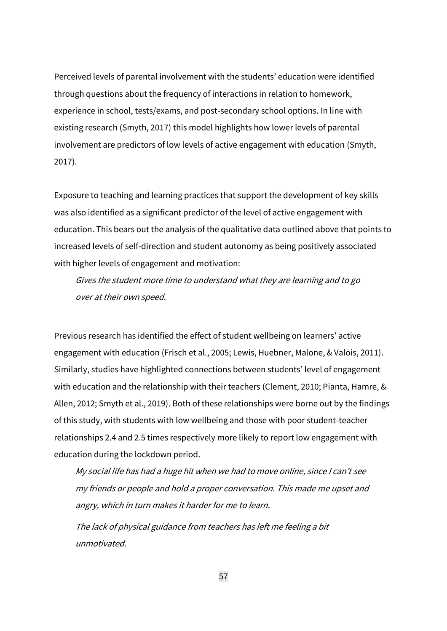Perceived levels of parental involvement with the students' education were identified through questions about the frequency of interactions in relation to homework, experience in school, tests/exams, and post-secondary school options. In line with existing research (Smyth, 2017) this model highlights how lower levels of parental involvement are predictors of low levels of active engagement with education (Smyth, 2017).

Exposure to teaching and learning practices that support the development of key skills was also identified as a significant predictor of the level of active engagement with education. This bears out the analysis of the qualitative data outlined above that points to increased levels of self-direction and student autonomy as being positively associated with higher levels of engagement and motivation:

Gives the student more time to understand what they are learning and to go over at their own speed.

Previous research has identified the effect of student wellbeing on learners' active engagement with education (Frisch et al., 2005; Lewis, Huebner, Malone, & Valois, 2011). Similarly, studies have highlighted connections between students' level of engagement with education and the relationship with their teachers (Clement, 2010; Pianta, Hamre, & Allen, 2012; Smyth et al., 2019). Both of these relationships were borne out by the findings of this study, with students with low wellbeing and those with poor student-teacher relationships 2.4 and 2.5 times respectively more likely to report low engagement with education during the lockdown period.

My social life has had <sup>a</sup> huge hit when we had to move online, since <sup>I</sup> can't see my friends or people and hold <sup>a</sup> proper conversation. This made me upset and angry, which in turn makes it harder for me to learn.

The lack of physical guidance from teachers has left me feeling <sup>a</sup> bit unmotivated.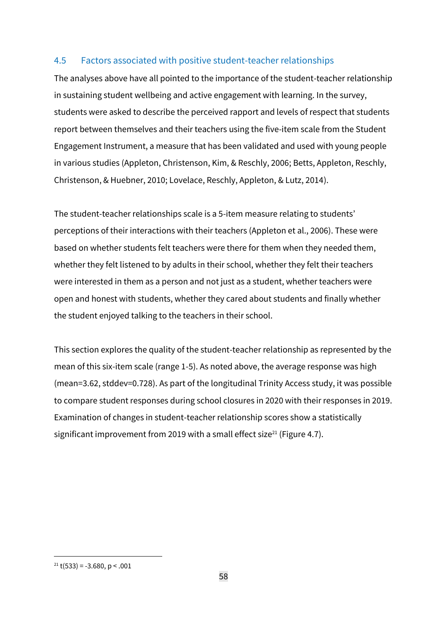## 4.5 Factors associated with positive student-teacher relationships

The analyses above have all pointed to the importance of the student-teacher relationship in sustaining student wellbeing and active engagement with learning. In the survey, students were asked to describe the perceived rapport and levels of respect that students report between themselves and their teachers using the five-item scale from the Student Engagement Instrument, a measure that has been validated and used with young people in various studies (Appleton, Christenson, Kim, & Reschly, 2006; Betts, Appleton, Reschly, Christenson, & Huebner, 2010; Lovelace, Reschly, Appleton, & Lutz, 2014).

The student-teacher relationships scale is a 5-item measure relating to students' perceptions of their interactions with their teachers (Appleton et al., 2006). These were based on whether students felt teachers were there for them when they needed them, whether they felt listened to by adults in their school, whether they felt their teachers were interested in them as a person and not just as a student, whether teachers were open and honest with students, whether they cared about students and finally whether the student enjoyed talking to the teachers in their school.

This section explores the quality of the student-teacher relationship as represented by the mean of this six-item scale (range 1-5). As noted above, the average response was high (mean=3.62, stddev=0.728). As part of the longitudinal Trinity Access study, it was possible to compare student responses during school closures in 2020 with their responses in 2019. Examination of changes in student-teacher relationship scores show a statistically significant improvement from 2019 with a small effect size<sup>21</sup> (Figure 4.7).

 $21$  t(533) = -3.680, p < .001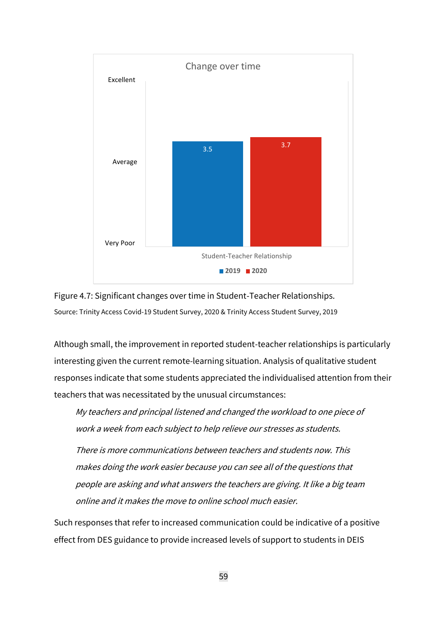

Figure 4.7: Significant changes over time in Student-Teacher Relationships. Source: Trinity Access Covid-19 Student Survey, 2020 & Trinity Access Student Survey, 2019

Although small, the improvement in reported student-teacher relationships is particularly interesting given the current remote-learning situation. Analysis of qualitative student responses indicate that some students appreciated the individualised attention from their teachers that was necessitated by the unusual circumstances:

My teachers and principal listened and changed the workload to one piece of work <sup>a</sup> week from each subject to help relieve our stresses as students.

There is more communications between teachers and students now. This makes doing the work easier because you can see all of the questions that people are asking and what answers the teachers are giving. It like <sup>a</sup> big team online and it makes the move to online school much easier.

Such responses that refer to increased communication could be indicative of a positive effect from DES guidance to provide increased levels of support to students in DEIS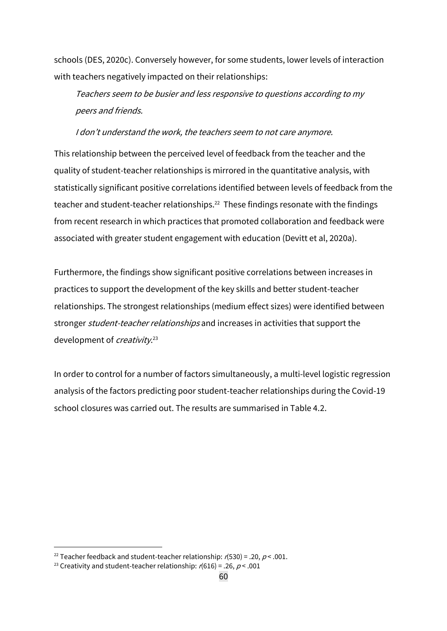schools (DES, 2020c). Conversely however, for some students, lower levels of interaction with teachers negatively impacted on their relationships:

Teachers seem to be busier and less responsive to questions according to my peers and friends.

#### I don't understand the work, the teachers seem to not care anymore.

This relationship between the perceived level of feedback from the teacher and the quality of student-teacher relationships is mirrored in the quantitative analysis, with statistically significant positive correlations identified between levels of feedback from the teacher and student-teacher relationships.<sup>22</sup> These findings resonate with the findings from recent research in which practices that promoted collaboration and feedback were associated with greater student engagement with education (Devitt et al, 2020a).

Furthermore, the findings show significant positive correlations between increases in practices to support the development of the key skills and better student-teacher relationships. The strongest relationships (medium effect sizes) were identified between stronger *student-teacher relationships* and increases in activities that support the development of *creativity*.<sup>23</sup>

In order to control for a number of factors simultaneously, a multi-level logistic regression analysis of the factors predicting poor student-teacher relationships during the Covid-19 school closures was carried out. The results are summarised in Table 4.2.

<sup>&</sup>lt;sup>22</sup> Teacher feedback and student-teacher relationship:  $r(530) = .20, p < .001$ .

<sup>&</sup>lt;sup>23</sup> Creativity and student-teacher relationship:  $r(616) = .26$ ,  $p < .001$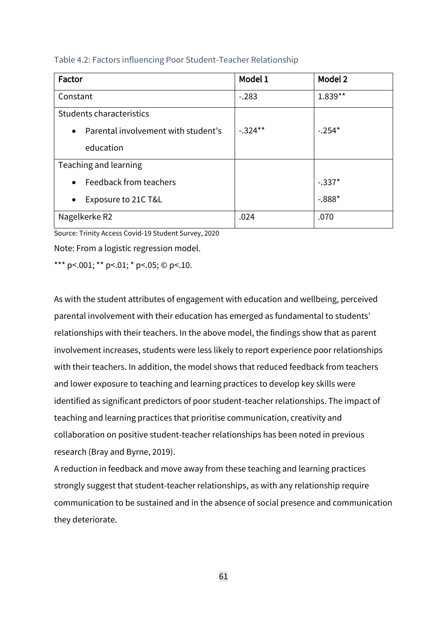| Factor                                           | Model 1   | Model 2   |
|--------------------------------------------------|-----------|-----------|
| Constant                                         | $-.283$   | $1.839**$ |
| Students characteristics                         |           |           |
| Parental involvement with student's<br>$\bullet$ | $-.324**$ | $-.254*$  |
| education                                        |           |           |
| Teaching and learning                            |           |           |
| Feedback from teachers<br>$\bullet$              |           | $-.337*$  |
| Exposure to 21C T&L<br>$\bullet$                 |           | $-.888*$  |
| Nagelkerke R2                                    | .024      | .070      |

#### Table 4.2: Factors influencing Poor Student-Teacher Relationship

Source: Trinity Access Covid-19 Student Survey, 2020

Note: From a logistic regression model.

\*\*\* p <.001; \*\* p <.01; \* p <.05; © p <.10.

As with the student attributes of engagement with education and wellbeing, perceived parental involvement with their education has emerged as fundamental to students' relationships with their teachers. In the above model, the findings show that as parent involvement increases, students were less likely to report experience poor relationships with their teachers. In addition, the model shows that reduced feedback from teachers and lower exposure to teaching and learning practices to develop key skills were identified as significant predictors of poor student-teacher relationships. The impact of teaching and learning practices that prioritise communication, creativity and collaboration on positive student-teacher relationships has been noted in previous research (Bray and Byrne, 2019).

A reduction in feedback and move away from these teaching and learning practices strongly suggest that student-teacher relationships, as with any relationship require communication to be sustained and in the absence of social presence and communication they deteriorate.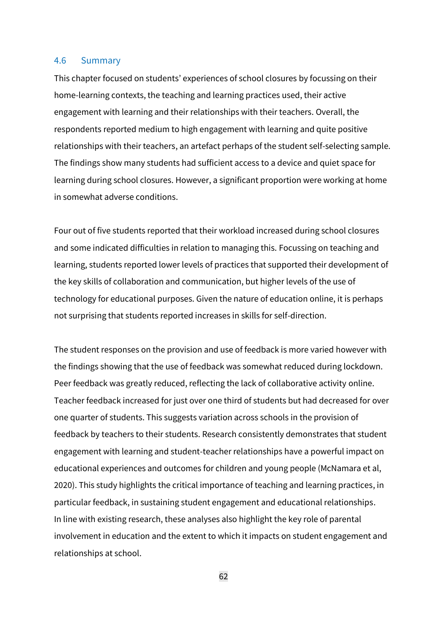#### 4.6 Summary

This chapter focused on students' experiences of school closures by focussing on their home-learning contexts, the teaching and learning practices used, their active engagement with learning and their relationships with their teachers. Overall, the respondents reported medium to high engagement with learning and quite positive relationships with their teachers, an artefact perhaps of the student self-selecting sample. The findings show many students had sufficient access to a device and quiet space for learning during school closures. However, a significant proportion were working at home in somewhat adverse conditions.

Four out of five students reported that their workload increased during school closures and some indicated difficulties in relation to managing this. Focussing on teaching and learning, students reported lower levels of practices that supported their development of the key skills of collaboration and communication, but higher levels of the use of technology for educational purposes. Given the nature of education online, it is perhaps not surprising that students reported increases in skills for self-direction.

The student responses on the provision and use of feedback is more varied however with the findings showing that the use of feedback was somewhat reduced during lockdown. Peer feedback was greatly reduced, reflecting the lack of collaborative activity online. Teacher feedback increased for just over one third of students but had decreased for over one quarter of students. This suggests variation across schools in the provision of feedback by teachers to their students. Research consistently demonstrates that student engagement with learning and student-teacher relationships have a powerful impact on educational experiences and outcomes for children and young people (McNamara et al, 2020). This study highlights the critical importance of teaching and learning practices, in particular feedback, in sustaining student engagement and educational relationships. In line with existing research, these analyses also highlight the key role of parental involvement in education and the extent to which it impacts on student engagement and relationships at school.

62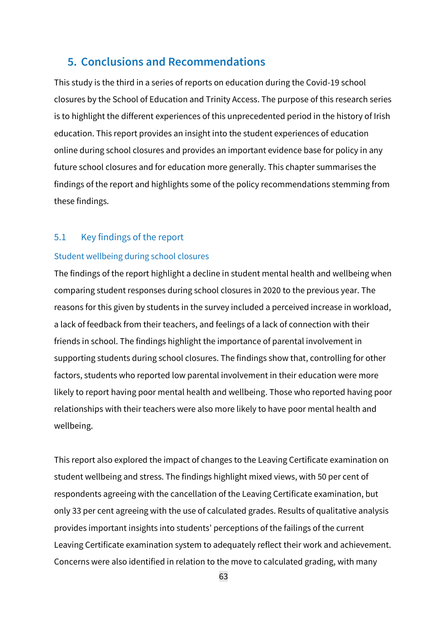# **5. Conclusions and Recommendations**

This study is the third in a series of reports on education during the Covid-19 school closures by the School of Education and Trinity Access. The purpose of this research series is to highlight the different experiences of this unprecedented period in the history of Irish education. This report provides an insight into the student experiences of education online during school closures and provides an important evidence base for policy in any future school closures and for education more generally. This chapter summarises the findings of the report and highlights some of the policy recommendations stemming from these findings.

### 5.1 Key findings of the report

#### Student wellbeing during school closures

The findings of the report highlight a decline in student mental health and wellbeing when comparing student responses during school closures in 2020 to the previous year. The reasons for this given by students in the survey included a perceived increase in workload, a lack of feedback from their teachers, and feelings of a lack of connection with their friends in school. The findings highlight the importance of parental involvement in supporting students during school closures. The findings show that, controlling for other factors, students who reported low parental involvement in their education were more likely to report having poor mental health and wellbeing. Those who reported having poor relationships with their teachers were also more likely to have poor mental health and wellbeing.

This report also explored the impact of changes to the Leaving Certificate examination on student wellbeing and stress. The findings highlight mixed views, with 50 per cent of respondents agreeing with the cancellation of the Leaving Certificate examination, but only 33 per cent agreeing with the use of calculated grades. Results of qualitative analysis provides important insights into students' perceptions of the failings of the current Leaving Certificate examination system to adequately reflect their work and achievement. Concerns were also identified in relation to the move to calculated grading, with many

63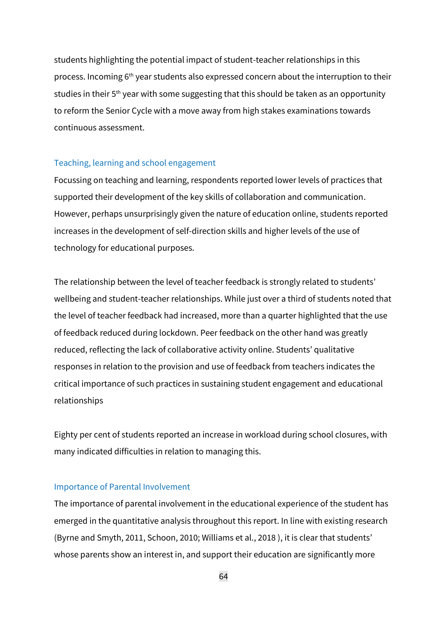students highlighting the potential impact of student-teacher relationships in this process. Incoming 6<sup>th</sup> year students also expressed concern about the interruption to their studies in their 5<sup>th</sup> year with some suggesting that this should be taken as an opportunity to reform the Senior Cycle with a move away from high stakes examinations towards continuous assessment.

#### Teaching, learning and school engagement

Focussing on teaching and learning, respondents reported lower levels of practices that supported their development of the key skills of collaboration and communication. However, perhaps unsurprisingly given the nature of education online, students reported increases in the development of self-direction skills and higher levels of the use of technology for educational purposes.

The relationship between the level of teacher feedback is strongly related to students' wellbeing and student-teacher relationships. While just over a third of students noted that the level of teacher feedback had increased, more than a quarter highlighted that the use of feedback reduced during lockdown. Peer feedback on the other hand was greatly reduced, reflecting the lack of collaborative activity online. Students' qualitative responses in relation to the provision and use of feedback from teachers indicates the critical importance of such practices in sustaining student engagement and educational relationships

Eighty per cent of students reported an increase in workload during school closures, with many indicated difficulties in relation to managing this.

#### Importance of Parental Involvement

The importance of parental involvement in the educational experience of the student has emerged in the quantitative analysis throughout this report. In line with existing research (Byrne and Smyth, 2011, Schoon, 2010; Williams et al., 2018 ), it is clear that students' whose parents show an interest in, and support their education are significantly more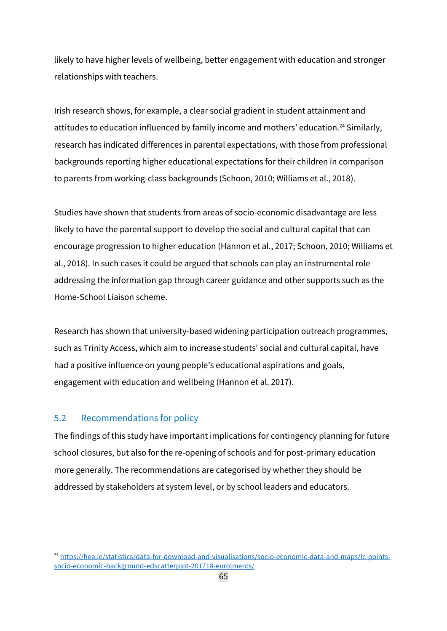likely to have higher levels of wellbeing, better engagement with education and stronger relationships with teachers.

Irish research shows, for example, a clear social gradient in student attainment and attitudes to education influenced by family income and mothers' education.<sup>24</sup> Similarly, research has indicated differences in parental expectations, with those from professional backgrounds reporting higher educational expectations for their children in comparison to parents from working-class backgrounds (Schoon, 2010; Williams et al., 2018).

Studies have shown that students from areas of socio-economic disadvantage are less likely to have the parental support to develop the social and cultural capital that can encourage progression to higher education (Hannon et al., 2017; Schoon, 2010; Williams et al., 2018). In such cases it could be argued that schools can play an instrumental role addressing the information gap through career guidance and other supports such as the Home-School Liaison scheme.

Research has shown that university-based widening participation outreach programmes, such as Trinity Access, which aim to increase students' social and cultural capital, have had a positive influence on young people's educational aspirations and goals, engagement with education and wellbeing (Hannon et al. 2017).

## 5.2 Recommendations for policy

The findings of this study have important implications for contingency planning for future school closures, but also for the re-opening of schools and for post-primary education more generally. The recommendations are categorised by whether they should be addressed by stakeholders at system level, or by school leaders and educators.

<sup>&</sup>lt;sup>24</sup> [https://hea.ie/statistics/data-for-download-and-visualisations/socio-economic-data-and-maps/lc-points](https://hea.ie/statistics/data-for-download-and-visualisations/socio-economic-data-and-maps/lc-points-socio-economic-background-edscatterplot-201718-enrolments/)[socio-economic-background-edscatterplot-201718-enrolments/](https://hea.ie/statistics/data-for-download-and-visualisations/socio-economic-data-and-maps/lc-points-socio-economic-background-edscatterplot-201718-enrolments/)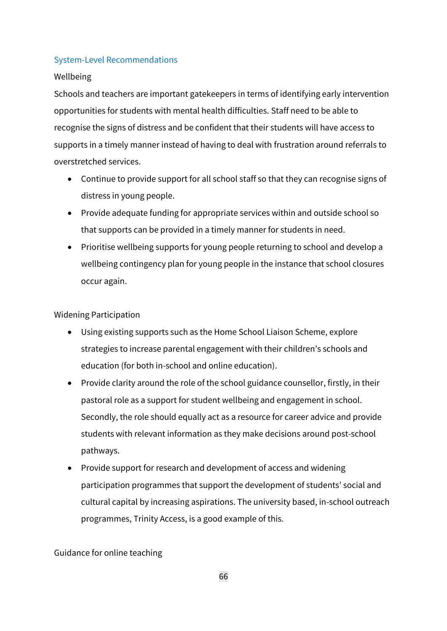### System-Level Recommendations

### Wellbeing

Schools and teachers are important gatekeepers in terms of identifying early intervention opportunities for students with mental health difficulties. Staff need to be able to recognise the signs of distress and be confident that their students will have access to supports in a timely manner instead of having to deal with frustration around referrals to overstretched services.

- Continue to provide support for all school staff so that they can recognise signs of distress in young people.
- Provide adequate funding for appropriate services within and outside school so that supports can be provided in a timely manner for students in need.
- Prioritise wellbeing supports for young people returning to school and develop a wellbeing contingency plan for young people in the instance that school closures occur again.

Widening Participation

- Using existing supports such as the Home School Liaison Scheme, explore strategies to increase parental engagement with their children's schools and education (for both in-school and online education).
- Provide clarity around the role of the school guidance counsellor, firstly, in their pastoral role as a support for student wellbeing and engagement in school. Secondly, the role should equally act as a resource for career advice and provide students with relevant information as they make decisions around post-school pathways.
- Provide support for research and development of access and widening participation programmes that support the development of students' social and cultural capital by increasing aspirations. The university based, in-school outreach programmes, Trinity Access, is a good example of this.

Guidance for online teaching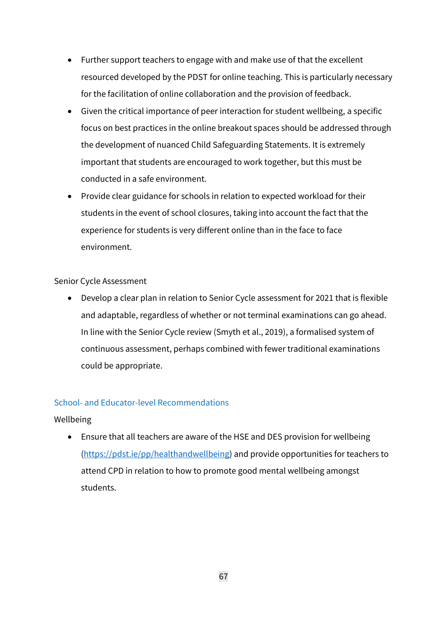- Further support teachers to engage with and make use of that the excellent resourced developed by the PDST for online teaching. This is particularly necessary for the facilitation of online collaboration and the provision of feedback.
- Given the critical importance of peer interaction for student wellbeing, a specific focus on best practices in the online breakout spaces should be addressed through the development of nuanced Child Safeguarding Statements. It is extremely important that students are encouraged to work together, but this must be conducted in a safe environment.
- Provide clear guidance for schools in relation to expected workload for their students in the event of school closures, taking into account the fact that the experience for students is very different online than in the face to face environment.

### Senior Cycle Assessment

• Develop a clear plan in relation to Senior Cycle assessment for 2021 that is flexible and adaptable, regardless of whether or not terminal examinations can go ahead. In line with the Senior Cycle review (Smyth et al., 2019), a formalised system of continuous assessment, perhaps combined with fewer traditional examinations could be appropriate.

## School- and Educator-level Recommendations

### Wellbeing

• Ensure that all teachers are aware of the HSE and DES provision for wellbeing [\(https://pdst.ie/pp/healthandwellbeing\)](https://pdst.ie/pp/healthandwellbeing) and provide opportunities for teachers to attend CPD in relation to how to promote good mental wellbeing amongst students.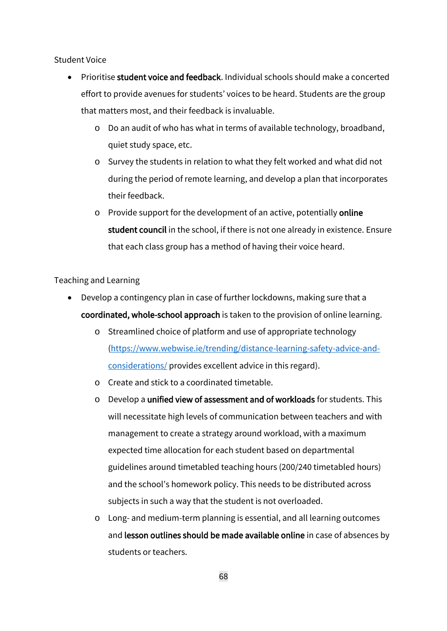Student Voice

- Prioritise student voice and feedback. Individual schools should make a concerted effort to provide avenues for students' voices to be heard. Students are the group that matters most, and their feedback is invaluable.
	- o Do an audit of who has what in terms of available technology, broadband, quiet study space, etc.
	- o Survey the students in relation to what they felt worked and what did not during the period of remote learning, and develop a plan that incorporates their feedback.
	- o Provide support for the development of an active, potentially online student council in the school, if there is not one already in existence. Ensure that each class group has a method of having their voice heard.

Teaching and Learning

- Develop a contingency plan in case of further lockdowns, making sure that a coordinated, whole-school approach is taken to the provision of online learning.
	- o Streamlined choice of platform and use of appropriate technology [\(https://www.webwise.ie/trending/distance-learning-safety-advice-and](https://www.webwise.ie/trending/distance-learning-safety-advice-and-considerations/)[considerations/](https://www.webwise.ie/trending/distance-learning-safety-advice-and-considerations/) provides excellent advice in this regard).
	- o Create and stick to a coordinated timetable.
	- o Develop a unified view of assessment and of workloads for students. This will necessitate high levels of communication between teachers and with management to create a strategy around workload, with a maximum expected time allocation for each student based on departmental guidelines around timetabled teaching hours (200/240 timetabled hours) and the school's homework policy. This needs to be distributed across subjects in such a way that the student is not overloaded.
	- o Long- and medium-term planning is essential, and all learning outcomes and lesson outlines should be made available online in case of absences by students or teachers.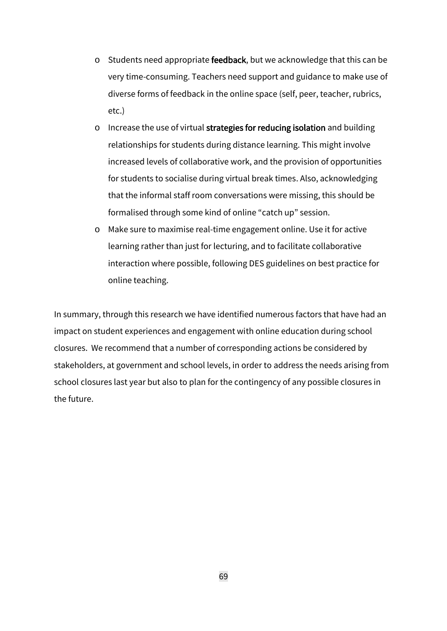- o Students need appropriate feedback, but we acknowledge that this can be very time-consuming. Teachers need support and guidance to make use of diverse forms of feedback in the online space (self, peer, teacher, rubrics, etc.)
- o Increase the use of virtual strategies for reducing isolation and building relationships for students during distance learning. This might involve increased levels of collaborative work, and the provision of opportunities for students to socialise during virtual break times. Also, acknowledging that the informal staff room conversations were missing, this should be formalised through some kind of online "catch up" session.
- o Make sure to maximise real-time engagement online. Use it for active learning rather than just for lecturing, and to facilitate collaborative interaction where possible, following DES guidelines on best practice for online teaching.

In summary, through this research we have identified numerous factors that have had an impact on student experiences and engagement with online education during school closures. We recommend that a number of corresponding actions be considered by stakeholders, at government and school levels, in order to address the needs arising from school closures last year but also to plan for the contingency of any possible closures in the future.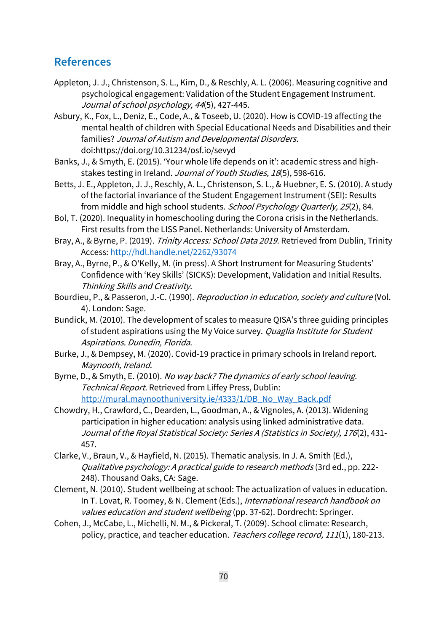# **References**

- Appleton, J. J., Christenson, S. L., Kim, D., & Reschly, A. L. (2006). Measuring cognitive and psychological engagement: Validation of the Student Engagement Instrument. Journal of school psychology, 44(5), 427-445.
- Asbury, K., Fox, L., Deniz, E., Code, A., & Toseeb, U. (2020). How is COVID-19 affecting the mental health of children with Special Educational Needs and Disabilities and their families? Journal of Autism and Developmental Disorders. doi:https://doi.org/10.31234/osf.io/sevyd
- Banks, J., & Smyth, E. (2015). 'Your whole life depends on it': academic stress and highstakes testing in Ireland. Journal of Youth Studies, 18(5), 598-616.
- Betts, J. E., Appleton, J. J., Reschly, A. L., Christenson, S. L., & Huebner, E. S. (2010). A study of the factorial invariance of the Student Engagement Instrument (SEI): Results from middle and high school students. School Psychology Quarterly, 25(2), 84.
- Bol, T. (2020). Inequality in homeschooling during the Corona crisis in the Netherlands. First results from the LISS Panel. Netherlands: University of Amsterdam.
- Bray, A., & Byrne, P. (2019). Trinity Access: School Data 2019. Retrieved from Dublin, Trinity Access:<http://hdl.handle.net/2262/93074>
- Bray, A., Byrne, P., & O'Kelly, M. (in press). A Short Instrument for Measuring Students' Confidence with 'Key Skills' (SICKS): Development, Validation and Initial Results. Thinking Skills and Creativity.
- Bourdieu, P., & Passeron, J.-C. (1990). Reproduction in education, society and culture (Vol. 4). London: Sage.
- Bundick, M. (2010). The development of scales to measure QISA's three guiding principles of student aspirations using the My Voice survey. Quaglia Institute for Student Aspirations. Dunedin, Florida.
- Burke, J., & Dempsey, M. (2020). Covid-19 practice in primary schools in Ireland report. Maynooth, Ireland.
- Byrne, D., & Smyth, E. (2010). No way back? The dynamics of early school leaving. Technical Report. Retrieved from Liffey Press, Dublin: [http://mural.maynoothuniversity.ie/4333/1/DB\\_No\\_Way\\_Back.pdf](http://mural.maynoothuniversity.ie/4333/1/DB_No_Way_Back.pdf)
- Chowdry, H., Crawford, C., Dearden, L., Goodman, A., & Vignoles, A. (2013). Widening participation in higher education: analysis using linked administrative data. Journal of the Royal Statistical Society: Series A (Statistics in Society), 176(2), 431- 457.
- Clarke, V., Braun, V., & Hayfield, N. (2015). Thematic analysis. In J. A. Smith (Ed.), Qualitative psychology: A practical guide to research methods (3rd ed., pp. 222- 248). Thousand Oaks, CA: Sage.
- Clement, N. (2010). Student wellbeing at school: The actualization of values in education. In T. Lovat, R. Toomey, & N. Clement (Eds.), International research handbook on values education and student wellbeing (pp. 37-62). Dordrecht: Springer.
- Cohen, J., McCabe, L., Michelli, N. M., & Pickeral, T. (2009). School climate: Research, policy, practice, and teacher education. Teachers college record, 111(1), 180-213.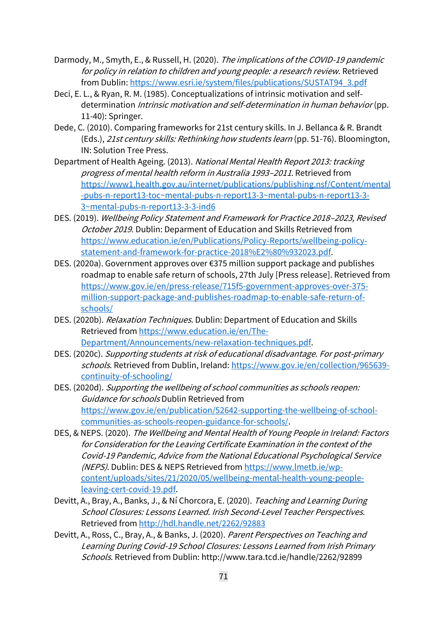- Darmody, M., Smyth, E., & Russell, H. (2020). The implications of the COVID-19 pandemic for policy in relation to children and young people: a research review. Retrieved from Dublin: [https://www.esri.ie/system/files/publications/SUSTAT94\\_3.pdf](https://www.esri.ie/system/files/publications/SUSTAT94_3.pdf)
- Deci, E. L., & Ryan, R. M. (1985). Conceptualizations of intrinsic motivation and selfdetermination *Intrinsic motivation and self-determination in human behavior* (pp. 11-40): Springer.
- Dede, C. (2010). Comparing frameworks for 21st century skills. In J. Bellanca & R. Brandt (Eds.), 21st century skills: Rethinking how students learn (pp. 51-76). Bloomington, IN: Solution Tree Press.
- Department of Health Ageing. (2013). National Mental Health Report 2013: tracking progress of mental health reform in Australia 1993–<sup>2011</sup>. Retrieved from [https://www1.health.gov.au/internet/publications/publishing.nsf/Content/mental](https://www1.health.gov.au/internet/publications/publishing.nsf/Content/mental-pubs-n-report13-toc~mental-pubs-n-report13-3~mental-pubs-n-report13-3-3~mental-pubs-n-report13-3-3-ind6) [-pubs-n-report13-toc~mental-pubs-n-report13-3~mental-pubs-n-report13-3-](https://www1.health.gov.au/internet/publications/publishing.nsf/Content/mental-pubs-n-report13-toc~mental-pubs-n-report13-3~mental-pubs-n-report13-3-3~mental-pubs-n-report13-3-3-ind6) [3~mental-pubs-n-report13-3-3-ind6](https://www1.health.gov.au/internet/publications/publishing.nsf/Content/mental-pubs-n-report13-toc~mental-pubs-n-report13-3~mental-pubs-n-report13-3-3~mental-pubs-n-report13-3-3-ind6)
- DES. (2019). Wellbeing Policy Statement and Framework for Practice 2018–2023, Revised October 2019. Dublin: Deparment of Education and Skills Retrieved from [https://www.education.ie/en/Publications/Policy-Reports/wellbeing-policy](https://www.education.ie/en/Publications/Policy-Reports/wellbeing-policy-statement-and-framework-for-practice-2018%E2%80%932023.pdf)[statement-and-framework-for-practice-2018%E2%80%932023.pdf.](https://www.education.ie/en/Publications/Policy-Reports/wellbeing-policy-statement-and-framework-for-practice-2018%E2%80%932023.pdf)
- DES. (2020a). Government approves over €375 million support package and publishes roadmap to enable safe return of schools, 27th July [Press release]. Retrieved from [https://www.gov.ie/en/press-release/715f5-government-approves-over-375](https://www.gov.ie/en/press-release/715f5-government-approves-over-375-million-support-package-and-publishes-roadmap-to-enable-safe-return-of-schools/) [million-support-package-and-publishes-roadmap-to-enable-safe-return-of](https://www.gov.ie/en/press-release/715f5-government-approves-over-375-million-support-package-and-publishes-roadmap-to-enable-safe-return-of-schools/)[schools/](https://www.gov.ie/en/press-release/715f5-government-approves-over-375-million-support-package-and-publishes-roadmap-to-enable-safe-return-of-schools/)
- DES. (2020b). *Relaxation Techniques*. Dublin: Department of Education and Skills Retrieved from [https://www.education.ie/en/The-](https://www.education.ie/en/The-Department/Announcements/new-relaxation-techniques.pdf)[Department/Announcements/new-relaxation-techniques.pdf.](https://www.education.ie/en/The-Department/Announcements/new-relaxation-techniques.pdf)
- DES. (2020c). Supporting students at risk of educational disadvantage. For post-primary schools. Retrieved from Dublin, Ireland: [https://www.gov.ie/en/collection/965639](https://www.gov.ie/en/collection/965639-continuity-of-schooling/) [continuity-of-schooling/](https://www.gov.ie/en/collection/965639-continuity-of-schooling/)
- DES. (2020d). Supporting the wellbeing of school communities as schools reopen: Guidance for schools Dublin Retrieved from [https://www.gov.ie/en/publication/52642-supporting-the-wellbeing-of-school](https://www.gov.ie/en/publication/52642-supporting-the-wellbeing-of-school-communities-as-schools-reopen-guidance-for-schools/)[communities-as-schools-reopen-guidance-for-schools/.](https://www.gov.ie/en/publication/52642-supporting-the-wellbeing-of-school-communities-as-schools-reopen-guidance-for-schools/)
- DES, & NEPS. (2020). The Wellbeing and Mental Health of Young People in Ireland: Factors for Consideration for the Leaving Certificate Examination in the context of the Covid-19 Pandemic, Advice from the National Educational Psychological Service (NEPS). Dublin: DES & NEPS Retrieved fro[m https://www.lmetb.ie/wp](https://www.lmetb.ie/wp-content/uploads/sites/21/2020/05/wellbeing-mental-health-young-people-leaving-cert-covid-19.pdf)[content/uploads/sites/21/2020/05/wellbeing-mental-health-young-people](https://www.lmetb.ie/wp-content/uploads/sites/21/2020/05/wellbeing-mental-health-young-people-leaving-cert-covid-19.pdf)[leaving-cert-covid-19.pdf.](https://www.lmetb.ie/wp-content/uploads/sites/21/2020/05/wellbeing-mental-health-young-people-leaving-cert-covid-19.pdf)
- Devitt, A., Bray, A., Banks, J., & Ní Chorcora, E. (2020). Teaching and Learning During School Closures: Lessons Learned. Irish Second-Level Teacher Perspectives. Retrieved from<http://hdl.handle.net/2262/92883>
- Devitt, A., Ross, C., Bray, A., & Banks, J. (2020). Parent Perspectives on Teaching and Learning During Covid-19 School Closures: Lessons Learned from Irish Primary Schools. Retrieved from Dublin: http://www.tara.tcd.ie/handle/2262/92899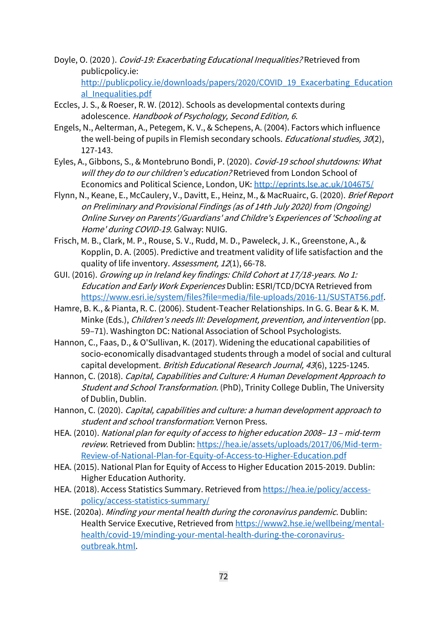- Doyle, O. (2020 ). Covid-19: Exacerbating Educational Inequalities? Retrieved from publicpolicy.ie: [http://publicpolicy.ie/downloads/papers/2020/COVID\\_19\\_Exacerbating\\_Education](http://publicpolicy.ie/downloads/papers/2020/COVID_19_Exacerbating_Educational_Inequalities.pdf) al Inequalities.pdf
- Eccles, J. S., & Roeser, R. W. (2012). Schools as developmental contexts during adolescence. Handbook of Psychology, Second Edition, 6.
- Engels, N., Aelterman, A., Petegem, K. V., & Schepens, A. (2004). Factors which influence the well-being of pupils in Flemish secondary schools. *Educational studies*, 30(2), 127-143.
- Eyles, A., Gibbons, S., & Montebruno Bondi, P. (2020). Covid-19 school shutdowns: What will they do to our children's education? Retrieved from London School of Economics and Political Science, London, UK:<http://eprints.lse.ac.uk/104675/>
- Flynn, N., Keane, E., McCaulery, V., Davitt, E., Heinz, M., & MacRuairc, G. (2020). Brief Report on Preliminary and Provisional Findings (as of 14th July 2020) from (Ongoing) Online Survey on Parents'/Guardians' and Childre's Experiences of 'Schooling at Home' during COVID-19. Galway: NUIG.
- Frisch, M. B., Clark, M. P., Rouse, S. V., Rudd, M. D., Paweleck, J. K., Greenstone, A., & Kopplin, D. A. (2005). Predictive and treatment validity of life satisfaction and the quality of life inventory. Assessment, 12(1), 66-78.
- GUI. (2016). Growing up in Ireland key findings: Child Cohort at 17/18-years. No 1: Education and Early Work Experiences Dublin: ESRI/TCD/DCYA Retrieved from [https://www.esri.ie/system/files?file=media/file-uploads/2016-11/SUSTAT56.pdf.](https://www.esri.ie/system/files?file=media/file-uploads/2016-11/SUSTAT56.pdf)
- Hamre, B. K., & Pianta, R. C. (2006). Student-Teacher Relationships. In G. G. Bear & K. M. Minke (Eds.), Children's needs III: Development, prevention, and intervention (pp. 59–71). Washington DC: National Association of School Psychologists.
- Hannon, C., Faas, D., & O'Sullivan, K. (2017). Widening the educational capabilities of socio‐economically disadvantaged students through a model of social and cultural capital development. British Educational Research Journal, 43(6), 1225-1245.
- Hannon, C. (2018). Capital, Capabilities and Culture: A Human Development Approach to Student and School Transformation. (PhD), Trinity College Dublin, The University of Dublin, Dublin.
- Hannon, C. (2020). Capital, capabilities and culture: a human development approach to student and school transformation: Vernon Press.
- HEA. (2010). National plan for equity of access to higher education 2008– <sup>13</sup> mid-term review. Retrieved from Dublin: [https://hea.ie/assets/uploads/2017/06/Mid-term-](https://hea.ie/assets/uploads/2017/06/Mid-term-Review-of-National-Plan-for-Equity-of-Access-to-Higher-Education.pdf)[Review-of-National-Plan-for-Equity-of-Access-to-Higher-Education.pdf](https://hea.ie/assets/uploads/2017/06/Mid-term-Review-of-National-Plan-for-Equity-of-Access-to-Higher-Education.pdf)
- HEA. (2015). National Plan for Equity of Access to Higher Education 2015-2019. Dublin: Higher Education Authority.
- HEA. (2018). Access Statistics Summary. Retrieved from [https://hea.ie/policy/access](https://hea.ie/policy/access-policy/access-statistics-summary/)[policy/access-statistics-summary/](https://hea.ie/policy/access-policy/access-statistics-summary/)
- HSE. (2020a). Minding your mental health during the coronavirus pandemic. Dublin: Health Service Executive, Retrieved fro[m https://www2.hse.ie/wellbeing/mental](https://www2.hse.ie/wellbeing/mental-health/covid-19/minding-your-mental-health-during-the-coronavirus-outbreak.html)[health/covid-19/minding-your-mental-health-during-the-coronavirus](https://www2.hse.ie/wellbeing/mental-health/covid-19/minding-your-mental-health-during-the-coronavirus-outbreak.html)[outbreak.html.](https://www2.hse.ie/wellbeing/mental-health/covid-19/minding-your-mental-health-during-the-coronavirus-outbreak.html)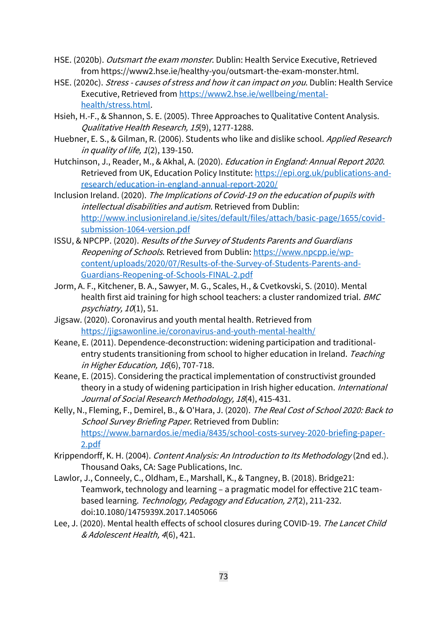- HSE. (2020b). Outsmart the exam monster. Dublin: Health Service Executive, Retrieved from https://www2.hse.ie/healthy-you/outsmart-the-exam-monster.html.
- HSE. (2020c). Stress causes of stress and how it can impact on you. Dublin: Health Service Executive, Retrieved fro[m https://www2.hse.ie/wellbeing/mental](https://www2.hse.ie/wellbeing/mental-health/stress.html)[health/stress.html.](https://www2.hse.ie/wellbeing/mental-health/stress.html)
- Hsieh, H.-F., & Shannon, S. E. (2005). Three Approaches to Qualitative Content Analysis. Qualitative Health Research, 15(9), 1277-1288.
- Huebner, E. S., & Gilman, R. (2006). Students who like and dislike school. Applied Research in quality of life, 1(2), 139-150.
- Hutchinson, J., Reader, M., & Akhal, A. (2020). *Education in England: Annual Report 2020*. Retrieved from UK, Education Policy Institute: [https://epi.org.uk/publications-and](https://epi.org.uk/publications-and-research/education-in-england-annual-report-2020/)[research/education-in-england-annual-report-2020/](https://epi.org.uk/publications-and-research/education-in-england-annual-report-2020/)
- Inclusion Ireland. (2020). The Implications of Covid-19 on the education of pupils with intellectual disabilities and autism. Retrieved from Dublin: [http://www.inclusionireland.ie/sites/default/files/attach/basic-page/1655/covid](http://www.inclusionireland.ie/sites/default/files/attach/basic-page/1655/covid-submission-1064-version.pdf)[submission-1064-version.pdf](http://www.inclusionireland.ie/sites/default/files/attach/basic-page/1655/covid-submission-1064-version.pdf)
- ISSU, & NPCPP. (2020). Results of the Survey of Students Parents and Guardians Reopening of Schools. Retrieved from Dublin: [https://www.npcpp.ie/wp](https://www.npcpp.ie/wp-content/uploads/2020/07/Results-of-the-Survey-of-Students-Parents-and-Guardians-Reopening-of-Schools-FINAL-2.pdf)[content/uploads/2020/07/Results-of-the-Survey-of-Students-Parents-and-](https://www.npcpp.ie/wp-content/uploads/2020/07/Results-of-the-Survey-of-Students-Parents-and-Guardians-Reopening-of-Schools-FINAL-2.pdf)[Guardians-Reopening-of-Schools-FINAL-2.pdf](https://www.npcpp.ie/wp-content/uploads/2020/07/Results-of-the-Survey-of-Students-Parents-and-Guardians-Reopening-of-Schools-FINAL-2.pdf)
- Jorm, A. F., Kitchener, B. A., Sawyer, M. G., Scales, H., & Cvetkovski, S. (2010). Mental health first aid training for high school teachers: a cluster randomized trial. BMC  $psychi$ *ztry, 10*(1), 51.
- Jigsaw. (2020). Coronavirus and youth mental health. Retrieved from <https://jigsawonline.ie/coronavirus-and-youth-mental-health/>
- Keane, E. (2011). Dependence-deconstruction: widening participation and traditionalentry students transitioning from school to higher education in Ireland. Teaching in Higher Education, 16(6), 707-718.
- Keane, E. (2015). Considering the practical implementation of constructivist grounded theory in a study of widening participation in Irish higher education. International Journal of Social Research Methodology, 18(4), 415-431.
- Kelly, N., Fleming, F., Demirel, B., & O'Hara, J. (2020). The Real Cost of School 2020: Back to School Survey Briefing Paper. Retrieved from Dublin: [https://www.barnardos.ie/media/8435/school-costs-survey-2020-briefing-paper-](https://www.barnardos.ie/media/8435/school-costs-survey-2020-briefing-paper-2.pdf)[2.pdf](https://www.barnardos.ie/media/8435/school-costs-survey-2020-briefing-paper-2.pdf)
- Krippendorff, K. H. (2004). Content Analysis: An Introduction to Its Methodology (2nd ed.). Thousand Oaks, CA: Sage Publications, Inc.
- Lawlor, J., Conneely, C., Oldham, E., Marshall, K., & Tangney, B. (2018). Bridge21: Teamwork, technology and learning – a pragmatic model for effective 21C teambased learning. Technology, Pedagogy and Education, 27(2), 211-232. doi:10.1080/1475939X.2017.1405066
- Lee, J. (2020). Mental health effects of school closures during COVID-19. The Lancet Child & Adolescent Health, 4(6), 421.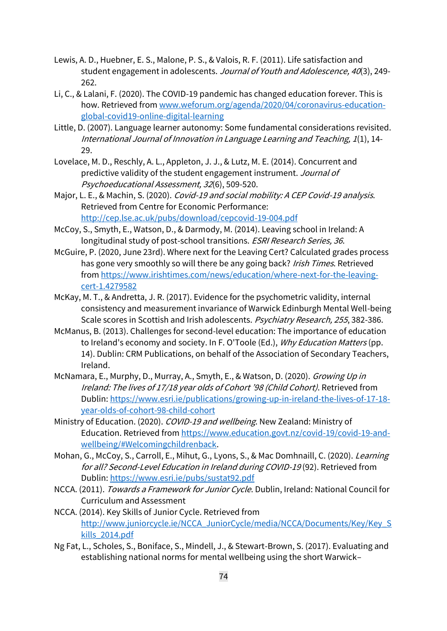- Lewis, A. D., Huebner, E. S., Malone, P. S., & Valois, R. F. (2011). Life satisfaction and student engagement in adolescents. Journal of Youth and Adolescence, 40(3), 249- 262.
- Li, C., & Lalani, F. (2020). The COVID-19 pandemic has changed education forever. This is how. Retrieved from [www.weforum.org/agenda/2020/04/coronavirus-education](http://www.weforum.org/agenda/2020/04/coronavirus-education-global-covid19-online-digital-learning)[global-covid19-online-digital-learning](http://www.weforum.org/agenda/2020/04/coronavirus-education-global-covid19-online-digital-learning)
- Little, D. (2007). Language learner autonomy: Some fundamental considerations revisited. International Journal of Innovation in Language Learning and Teaching, 1(1), 14- 29.
- Lovelace, M. D., Reschly, A. L., Appleton, J. J., & Lutz, M. E. (2014). Concurrent and predictive validity of the student engagement instrument. Journal of Psychoeducational Assessment, 32(6), 509-520.
- Major, L. E., & Machin, S. (2020). Covid-19 and social mobility: A CEP Covid-19 analysis. Retrieved from Centre for Economic Performance: <http://cep.lse.ac.uk/pubs/download/cepcovid-19-004.pdf>
- McCoy, S., Smyth, E., Watson, D., & Darmody, M. (2014). Leaving school in Ireland: A longitudinal study of post-school transitions. ESRI Research Series, 36.
- McGuire, P. (2020, June 23rd). Where next for the Leaving Cert? Calculated grades process has gone very smoothly so will there be any going back? Irish Times. Retrieved fro[m https://www.irishtimes.com/news/education/where-next-for-the-leaving](https://www.irishtimes.com/news/education/where-next-for-the-leaving-cert-1.4279582)[cert-1.4279582](https://www.irishtimes.com/news/education/where-next-for-the-leaving-cert-1.4279582)
- McKay, M. T., & Andretta, J. R. (2017). Evidence for the psychometric validity, internal consistency and measurement invariance of Warwick Edinburgh Mental Well-being Scale scores in Scottish and Irish adolescents. Psychiatry Research, 255, 382-386.
- McManus, B. (2013). Challenges for second-level education: The importance of education to Ireland's economy and society. In F. O'Toole (Ed.), Why Education Matters (pp. 14). Dublin: CRM Publications, on behalf of the Association of Secondary Teachers, Ireland.
- McNamara, E., Murphy, D., Murray, A., Smyth, E., & Watson, D. (2020). Growing Up in Ireland: The lives of 17/18 year olds of Cohort '98 (Child Cohort). Retrieved from Dublin[: https://www.esri.ie/publications/growing-up-in-ireland-the-lives-of-17-18](https://www.esri.ie/publications/growing-up-in-ireland-the-lives-of-17-18-year-olds-of-cohort-98-child-cohort) [year-olds-of-cohort-98-child-cohort](https://www.esri.ie/publications/growing-up-in-ireland-the-lives-of-17-18-year-olds-of-cohort-98-child-cohort)
- Ministry of Education. (2020). COVID-19 and wellbeing. New Zealand: Ministry of Education. Retrieved fro[m https://www.education.govt.nz/covid-19/covid-19-and](https://www.education.govt.nz/covid-19/covid-19-and-wellbeing/#Welcomingchildrenback)[wellbeing/#Welcomingchildrenback.](https://www.education.govt.nz/covid-19/covid-19-and-wellbeing/#Welcomingchildrenback)
- Mohan, G., McCoy, S., Carroll, E., Mihut, G., Lyons, S., & Mac Domhnaill, C. (2020). *Learning* for all? Second-Level Education in Ireland during COVID-19 (92). Retrieved from Dublin[: https://www.esri.ie/pubs/sustat92.pdf](https://www.esri.ie/pubs/sustat92.pdf)
- NCCA. (2011). Towards a Framework for Junior Cycle. Dublin, Ireland: National Council for Curriculum and Assessment
- NCCA. (2014). Key Skills of Junior Cycle. Retrieved from [http://www.juniorcycle.ie/NCCA\\_JuniorCycle/media/NCCA/Documents/Key/Key\\_S](http://www.juniorcycle.ie/NCCA_JuniorCycle/media/NCCA/Documents/Key/Key_Skills_2014.pdf) [kills\\_2014.pdf](http://www.juniorcycle.ie/NCCA_JuniorCycle/media/NCCA/Documents/Key/Key_Skills_2014.pdf)
- Ng Fat, L., Scholes, S., Boniface, S., Mindell, J., & Stewart-Brown, S. (2017). Evaluating and establishing national norms for mental wellbeing using the short Warwick–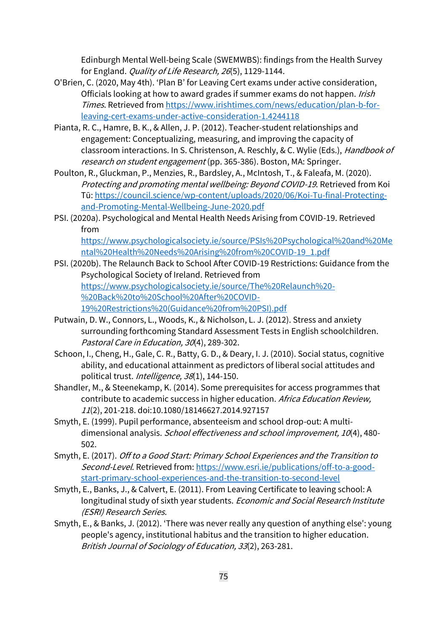Edinburgh Mental Well-being Scale (SWEMWBS): findings from the Health Survey for England. Quality of Life Research, 26(5), 1129-1144.

- O'Brien, C. (2020, May 4th). 'Plan B' for Leaving Cert exams under active consideration, Officials looking at how to award grades if summer exams do not happen. Irish Times. Retrieved fro[m https://www.irishtimes.com/news/education/plan-b-for](https://www.irishtimes.com/news/education/plan-b-for-leaving-cert-exams-under-active-consideration-1.4244118)[leaving-cert-exams-under-active-consideration-1.4244118](https://www.irishtimes.com/news/education/plan-b-for-leaving-cert-exams-under-active-consideration-1.4244118)
- Pianta, R. C., Hamre, B. K., & Allen, J. P. (2012). Teacher-student relationships and engagement: Conceptualizing, measuring, and improving the capacity of classroom interactions. In S. Christenson, A. Reschly, & C. Wylie (Eds.), Handbook of research on student engagement (pp. 365-386). Boston, MA: Springer.
- Poulton, R., Gluckman, P., Menzies, R., Bardsley, A., McIntosh, T., & Faleafa, M. (2020). Protecting and promoting mental wellbeing: Beyond COVID-19. Retrieved from Koi Tū: [https://council.science/wp-content/uploads/2020/06/Koi-Tu-final-Protecting](https://council.science/wp-content/uploads/2020/06/Koi-Tu-final-Protecting-and-Promoting-Mental-Wellbeing-June-2020.pdf)[and-Promoting-Mental-Wellbeing-June-2020.pdf](https://council.science/wp-content/uploads/2020/06/Koi-Tu-final-Protecting-and-Promoting-Mental-Wellbeing-June-2020.pdf)
- PSI. (2020a). Psychological and Mental Health Needs Arising from COVID-19. Retrieved from [https://www.psychologicalsociety.ie/source/PSIs%20Psychological%20and%20Me](https://www.psychologicalsociety.ie/source/PSIs%20Psychological%20and%20Mental%20Health%20Needs%20Arising%20from%20COVID-19_1.pdf) [ntal%20Health%20Needs%20Arising%20from%20COVID-19\\_1.pdf](https://www.psychologicalsociety.ie/source/PSIs%20Psychological%20and%20Mental%20Health%20Needs%20Arising%20from%20COVID-19_1.pdf)
- PSI. (2020b). The Relaunch Back to School After COVID-19 Restrictions: Guidance from the Psychological Society of Ireland. Retrieved from [https://www.psychologicalsociety.ie/source/The%20Relaunch%20-](https://www.psychologicalsociety.ie/source/The%20Relaunch%20-%20Back%20to%20School%20After%20COVID-19%20Restrictions%20(Guidance%20from%20PSI).pdf) [%20Back%20to%20School%20After%20COVID-](https://www.psychologicalsociety.ie/source/The%20Relaunch%20-%20Back%20to%20School%20After%20COVID-19%20Restrictions%20(Guidance%20from%20PSI).pdf)[19%20Restrictions%20\(Guidance%20from%20PSI\).pdf](https://www.psychologicalsociety.ie/source/The%20Relaunch%20-%20Back%20to%20School%20After%20COVID-19%20Restrictions%20(Guidance%20from%20PSI).pdf)
- Putwain, D. W., Connors, L., Woods, K., & Nicholson, L. J. (2012). Stress and anxiety surrounding forthcoming Standard Assessment Tests in English schoolchildren. Pastoral Care in Education, 30(4), 289-302.
- Schoon, I., Cheng, H., Gale, C. R., Batty, G. D., & Deary, I. J. (2010). Social status, cognitive ability, and educational attainment as predictors of liberal social attitudes and political trust. Intelligence, 38(1), 144-150.
- Shandler, M., & Steenekamp, K. (2014). Some prerequisites for access programmes that contribute to academic success in higher education. Africa Education Review, <sup>11</sup>(2), 201-218. doi:10.1080/18146627.2014.927157
- Smyth, E. (1999). Pupil performance, absenteeism and school drop-out: A multidimensional analysis. School effectiveness and school improvement, 10(4), 480- 502.
- Smyth, E. (2017). Off to a Good Start: Primary School Experiences and the Transition to Second-Level. Retrieved from: [https://www.esri.ie/publications/off-to-a-good](https://www.esri.ie/publications/off-to-a-good-start-primary-school-experiences-and-the-transition-to-second-level)[start-primary-school-experiences-and-the-transition-to-second-level](https://www.esri.ie/publications/off-to-a-good-start-primary-school-experiences-and-the-transition-to-second-level)
- Smyth, E., Banks, J., & Calvert, E. (2011). From Leaving Certificate to leaving school: A longitudinal study of sixth year students. Economic and Social Research Institute (ESRI) Research Series.
- Smyth, E., & Banks, J. (2012). 'There was never really any question of anything else': young people's agency, institutional habitus and the transition to higher education. British Journal of Sociology of Education, 33(2), 263-281.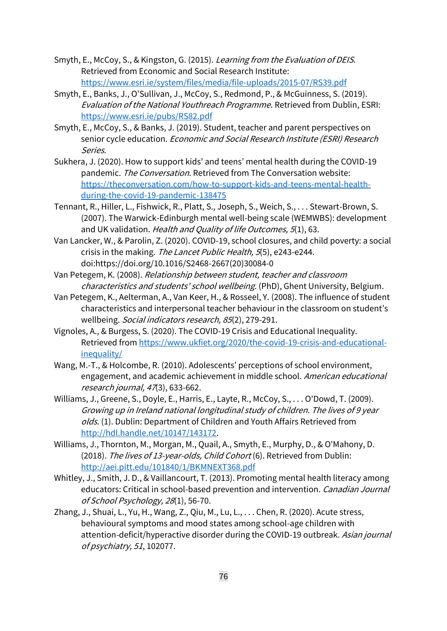- Smyth, E., McCoy, S., & Kingston, G. (2015). Learning from the Evaluation of DEIS. Retrieved from Economic and Social Research Institute: <https://www.esri.ie/system/files/media/file-uploads/2015-07/RS39.pdf>
- Smyth, E., Banks, J., O'Sullivan, J., McCoy, S., Redmond, P., & McGuinness, S. (2019). Evaluation of the National Youthreach Programme. Retrieved from Dublin, ESRI: <https://www.esri.ie/pubs/RS82.pdf>
- Smyth, E., McCoy, S., & Banks, J. (2019). Student, teacher and parent perspectives on senior cycle education. Economic and Social Research Institute (ESRI) Research Series.
- Sukhera, J. (2020). How to support kids' and teens' mental health during the COVID-19 pandemic. The Conversation. Retrieved from The Conversation website: [https://theconversation.com/how-to-support-kids-and-teens-mental-health](https://theconversation.com/how-to-support-kids-and-teens-mental-health-during-the-covid-19-pandemic-138475)[during-the-covid-19-pandemic-138475](https://theconversation.com/how-to-support-kids-and-teens-mental-health-during-the-covid-19-pandemic-138475)
- Tennant, R., Hiller, L., Fishwick, R., Platt, S., Joseph, S., Weich, S., . . . Stewart-Brown, S. (2007). The Warwick-Edinburgh mental well-being scale (WEMWBS): development and UK validation. Health and Quality of life Outcomes, 5(1), 63.
- Van Lancker, W., & Parolin, Z. (2020). COVID-19, school closures, and child poverty: a social crisis in the making. The Lancet Public Health, 5(5), e243-e244. doi:https://doi.org/10.1016/S2468-2667(20)30084-0

Van Petegem, K. (2008). Relationship between student, teacher and classroom characteristics and students' school wellbeing. (PhD), Ghent University, Belgium.

- Van Petegem, K., Aelterman, A., Van Keer, H., & Rosseel, Y. (2008). The influence of student characteristics and interpersonal teacher behaviour in the classroom on student's wellbeing. Social indicators research, 85(2), 279-291.
- Vignoles, A., & Burgess, S. (2020). The COVID-19 Crisis and Educational Inequality. Retrieved from [https://www.ukfiet.org/2020/the-covid-19-crisis-and-educational](https://www.ukfiet.org/2020/the-covid-19-crisis-and-educational-inequality/)[inequality/](https://www.ukfiet.org/2020/the-covid-19-crisis-and-educational-inequality/)
- Wang, M.-T., & Holcombe, R. (2010). Adolescents' perceptions of school environment, engagement, and academic achievement in middle school. American educational research journal, 47(3), 633-662.
- Williams, J., Greene, S., Doyle, E., Harris, E., Layte, R., McCoy, S., . . . O'Dowd, T. (2009). Growing up in Ireland national longitudinal study of children. The lives of 9 year olds. (1). Dublin: Department of Children and Youth Affairs Retrieved from [http://hdl.handle.net/10147/143172.](http://hdl.handle.net/10147/143172)
- Williams, J., Thornton, M., Morgan, M., Quail, A., Smyth, E., Murphy, D., & O'Mahony, D. (2018). The lives of 13-year-olds, Child Cohort (6). Retrieved from Dublin: <http://aei.pitt.edu/101840/1/BKMNEXT368.pdf>
- Whitley, J., Smith, J. D., & Vaillancourt, T. (2013). Promoting mental health literacy among educators: Critical in school-based prevention and intervention. Canadian Journal of School Psychology, 28(1), 56-70.
- Zhang, J., Shuai, L., Yu, H., Wang, Z., Qiu, M., Lu, L., . . . Chen, R. (2020). Acute stress, behavioural symptoms and mood states among school-age children with attention-deficit/hyperactive disorder during the COVID-19 outbreak. Asian journal of psychiatry, 51, 102077.